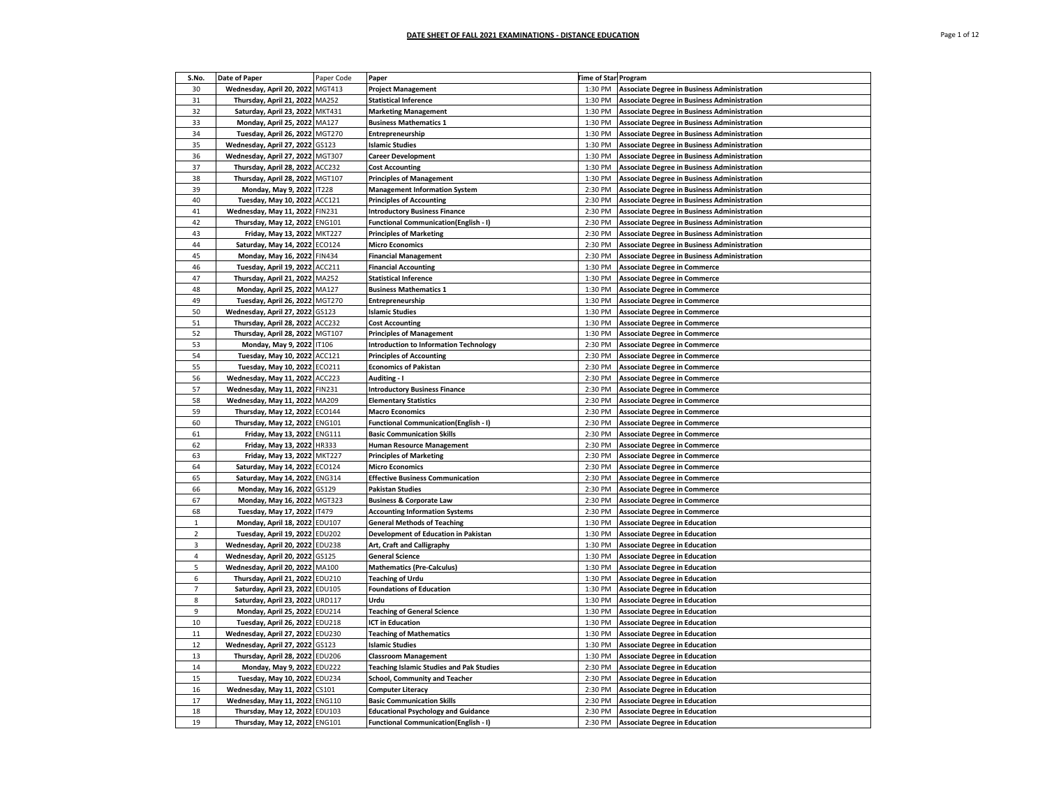| S.No.          | Date of Paper                    | Paper Code    | Paper                                           | <b>Time of Star Program</b> |                                                    |
|----------------|----------------------------------|---------------|-------------------------------------------------|-----------------------------|----------------------------------------------------|
| 30             | Wednesday, April 20, 2022 MGT413 |               | <b>Project Management</b>                       | 1:30 PM                     | <b>Associate Degree in Business Administration</b> |
| 31             | Thursday, April 21, 2022 MA252   |               | <b>Statistical Inference</b>                    | 1:30 PM                     | <b>Associate Degree in Business Administration</b> |
| 32             | Saturday, April 23, 2022 MKT431  |               | <b>Marketing Management</b>                     | 1:30 PM                     | <b>Associate Degree in Business Administration</b> |
| 33             | Monday, April 25, 2022 MA127     |               | <b>Business Mathematics 1</b>                   | 1:30 PM                     | <b>Associate Degree in Business Administration</b> |
| 34             | Tuesday, April 26, 2022 MGT270   |               | <b>Entrepreneurship</b>                         | 1:30 PM                     | <b>Associate Degree in Business Administration</b> |
| 35             | Wednesday, April 27, 2022        | GS123         | <b>Islamic Studies</b>                          | 1:30 PM                     | <b>Associate Degree in Business Administration</b> |
| 36             | Wednesday, April 27, 2022        | <b>MGT307</b> | <b>Career Development</b>                       | 1:30 PM                     | <b>Associate Degree in Business Administration</b> |
| 37             | Thursday, April 28, 2022         | ACC232        | <b>Cost Accounting</b>                          | 1:30 PM                     | <b>Associate Degree in Business Administration</b> |
| 38             | Thursday, April 28, 2022 MGT107  |               | <b>Principles of Management</b>                 | 1:30 PM                     | <b>Associate Degree in Business Administration</b> |
| 39             | Monday, May 9, 2022              | <b>IT228</b>  | <b>Management Information System</b>            | 2:30 PM                     | <b>Associate Degree in Business Administration</b> |
| 40             | Tuesday, May 10, 2022 ACC121     |               | <b>Principles of Accounting</b>                 | 2:30 PM                     | <b>Associate Degree in Business Administration</b> |
| 41             | Wednesday, May 11, 2022          | <b>FIN231</b> | <b>Introductory Business Finance</b>            | 2:30 PM                     | <b>Associate Degree in Business Administration</b> |
| 42             | Thursday, May 12, 2022 ENG101    |               | <b>Functional Communication(English - I)</b>    | 2:30 PM                     | <b>Associate Degree in Business Administration</b> |
| 43             | Friday, May 13, 2022 MKT227      |               | <b>Principles of Marketing</b>                  | 2:30 PM                     | <b>Associate Degree in Business Administration</b> |
| 44             | Saturday, May 14, 2022 ECO124    |               | <b>Micro Economics</b>                          | 2:30 PM                     | <b>Associate Degree in Business Administration</b> |
| 45             | Monday, May 16, 2022             | <b>FIN434</b> | <b>Financial Management</b>                     | 2:30 PM                     | <b>Associate Degree in Business Administration</b> |
| 46             | Tuesday, April 19, 2022 ACC211   |               | <b>Financial Accounting</b>                     | 1:30 PM                     | <b>Associate Degree in Commerce</b>                |
| 47             | Thursday, April 21, 2022         | MA252         | <b>Statistical Inference</b>                    | 1:30 PM                     | <b>Associate Degree in Commerce</b>                |
| 48             | Monday, April 25, 2022 MA127     |               | <b>Business Mathematics 1</b>                   | 1:30 PM                     | <b>Associate Degree in Commerce</b>                |
| 49             | Tuesday, April 26, 2022 MGT270   |               | <b>Entrepreneurship</b>                         | 1:30 PM                     | <b>Associate Degree in Commerce</b>                |
| 50             | Wednesday, April 27, 2022 GS123  |               | <b>Islamic Studies</b>                          | 1:30 PM                     | <b>Associate Degree in Commerce</b>                |
| 51             | Thursday, April 28, 2022 ACC232  |               | <b>Cost Accounting</b>                          | 1:30 PM                     | <b>Associate Degree in Commerce</b>                |
| 52             | Thursday, April 28, 2022 MGT107  |               | <b>Principles of Management</b>                 | 1:30 PM                     | <b>Associate Degree in Commerce</b>                |
| 53             | Monday, May 9, 2022 IT106        |               | <b>Introduction to Information Technology</b>   | 2:30 PM                     | <b>Associate Degree in Commerce</b>                |
| 54             | Tuesday, May 10, 2022 ACC121     |               | <b>Principles of Accounting</b>                 | 2:30 PM                     | <b>Associate Degree in Commerce</b>                |
| 55             | Tuesday, May 10, 2022 ECO211     |               | <b>Economics of Pakistan</b>                    | 2:30 PM                     | <b>Associate Degree in Commerce</b>                |
| 56             | Wednesday, May 11, 2022 ACC223   |               | <b>Auditing - I</b>                             | 2:30 PM                     | <b>Associate Degree in Commerce</b>                |
| 57             | Wednesday, May 11, 2022 FIN231   |               | <b>Introductory Business Finance</b>            | 2:30 PM                     | <b>Associate Degree in Commerce</b>                |
| 58             | Wednesday, May 11, 2022          | MA209         | <b>Elementary Statistics</b>                    | 2:30 PM                     | <b>Associate Degree in Commerce</b>                |
| 59             | Thursday, May 12, 2022 ECO144    |               | <b>Macro Economics</b>                          | 2:30 PM                     | <b>Associate Degree in Commerce</b>                |
| 60             | Thursday, May 12, 2022 ENG101    |               | <b>Functional Communication(English - I)</b>    | 2:30 PM                     | <b>Associate Degree in Commerce</b>                |
| 61             | Friday, May 13, 2022 ENG111      |               | <b>Basic Communication Skills</b>               | 2:30 PM                     | <b>Associate Degree in Commerce</b>                |
| 62             | Friday, May 13, 2022 HR333       |               | <b>Human Resource Management</b>                | 2:30 PM                     | <b>Associate Degree in Commerce</b>                |
| 63             | Friday, May 13, 2022 MKT227      |               | <b>Principles of Marketing</b>                  | 2:30 PM                     | <b>Associate Degree in Commerce</b>                |
| 64             | Saturday, May 14, 2022 ECO124    |               | <b>Micro Economics</b>                          | 2:30 PM                     | <b>Associate Degree in Commerce</b>                |
| 65             | Saturday, May 14, 2022 ENG314    |               | <b>Effective Business Communication</b>         | 2:30 PM                     | <b>Associate Degree in Commerce</b>                |
| 66             | Monday, May 16, 2022             | GS129         | Pakistan Studies                                | 2:30 PM                     | <b>Associate Degree in Commerce</b>                |
| 67             | Monday, May 16, 2022 MGT323      |               | <b>Business &amp; Corporate Law</b>             | 2:30 PM                     | <b>Associate Degree in Commerce</b>                |
| 68             | Tuesday, May 17, 2022            | <b>IT479</b>  | <b>Accounting Information Systems</b>           | 2:30 PM                     | <b>Associate Degree in Commerce</b>                |
| $1\,$          | Monday, April 18, 2022 EDU107    |               | <b>General Methods of Teaching</b>              | 1:30 PM                     | <b>Associate Degree in Education</b>               |
| $\overline{2}$ | Tuesday, April 19, 2022 EDU202   |               | Development of Education in Pakistan            | 1:30 PM                     | <b>Associate Degree in Education</b>               |
| 3              | Wednesday, April 20, 2022 EDU238 |               | Art, Craft and Calligraphy                      | 1:30 PM                     | <b>Associate Degree in Education</b>               |
| $\overline{4}$ | Wednesday, April 20, 2022        | GS125         | <b>General Science</b>                          | 1:30 PM                     | <b>Associate Degree in Education</b>               |
| 5              | Wednesday, April 20, 2022 MA100  |               | <b>Mathematics (Pre-Calculus)</b>               | 1:30 PM                     | <b>Associate Degree in Education</b>               |
| 6              | Thursday, April 21, 2022 EDU210  |               | <b>Teaching of Urdu</b>                         | 1:30 PM                     | <b>Associate Degree in Education</b>               |
| $\overline{7}$ | Saturday, April 23, 2022         | <b>EDU105</b> | <b>Foundations of Education</b>                 | 1:30 PM                     | <b>Associate Degree in Education</b>               |
| 8              | Saturday, April 23, 2022         | <b>URD117</b> | Urdu                                            | 1:30 PM                     | <b>Associate Degree in Education</b>               |
| 9              | Monday, April 25, 2022           | <b>EDU214</b> | <b>Teaching of General Science</b>              | 1:30 PM                     | <b>Associate Degree in Education</b>               |
| 10             | Tuesday, April 26, 2022 EDU218   |               | <b>ICT in Education</b>                         | 1:30 PM                     | <b>Associate Degree in Education</b>               |
| 11             | Wednesday, April 27, 2022 EDU230 |               | <b>Teaching of Mathematics</b>                  | 1:30 PM                     | <b>Associate Degree in Education</b>               |
| 12             | Wednesday, April 27, 2022 GS123  |               | <b>Islamic Studies</b>                          | 1:30 PM                     | <b>Associate Degree in Education</b>               |
| 13             | Thursday, April 28, 2022         | <b>EDU206</b> | <b>Classroom Management</b>                     | 1:30 PM                     | <b>Associate Degree in Education</b>               |
| 14             | Monday, May 9, 2022 EDU222       |               | <b>Teaching Islamic Studies and Pak Studies</b> | 2:30 PM                     | <b>Associate Degree in Education</b>               |
| 15             | Tuesday, May 10, 2022 EDU234     |               | <b>School, Community and Teacher</b>            | 2:30 PM                     | <b>Associate Degree in Education</b>               |
| 16             | Wednesday, May 11, 2022          | CS101         | <b>Computer Literacy</b>                        | 2:30 PM                     | <b>Associate Degree in Education</b>               |
| 17             | Wednesday, May 11, 2022          | <b>ENG110</b> | <b>Basic Communication Skills</b>               | 2:30 PM                     | <b>Associate Degree in Education</b>               |
| 18             | Thursday, May 12, 2022 EDU103    |               | <b>Educational Psychology and Guidance</b>      | 2:30 PM                     | <b>Associate Degree in Education</b>               |
| 19             | Thursday, May 12, 2022 ENG101    |               | <b>Functional Communication(English - I)</b>    | 2:30 PM                     | <b>Associate Degree in Education</b>               |
|                |                                  |               |                                                 |                             |                                                    |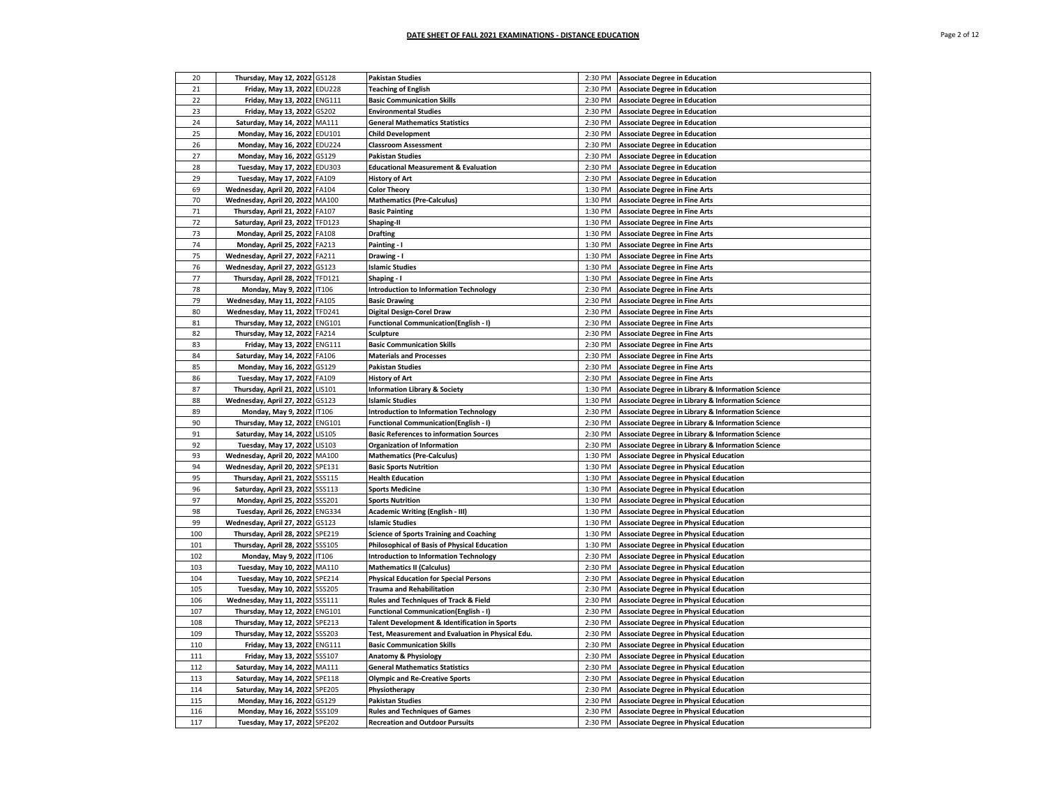| 20  | Thursday, May 12, 2022 GS128     |               | <b>Pakistan Studies</b>                                  | 2:30 PM | <b>Associate Degree in Education</b>              |
|-----|----------------------------------|---------------|----------------------------------------------------------|---------|---------------------------------------------------|
| 21  | Friday, May 13, 2022 EDU228      |               | <b>Teaching of English</b>                               | 2:30 PM | <b>Associate Degree in Education</b>              |
| 22  | Friday, May 13, 2022 ENG111      |               | <b>Basic Communication Skills</b>                        | 2:30 PM | <b>Associate Degree in Education</b>              |
| 23  | Friday, May 13, 2022 GS202       |               | <b>Environmental Studies</b>                             | 2:30 PM | <b>Associate Degree in Education</b>              |
| 24  | Saturday, May 14, 2022 MA111     |               | <b>General Mathematics Statistics</b>                    | 2:30 PM | <b>Associate Degree in Education</b>              |
| 25  | Monday, May 16, 2022 EDU101      |               | <b>Child Development</b>                                 | 2:30 PM | <b>Associate Degree in Education</b>              |
| 26  | Monday, May 16, 2022 EDU224      |               | <b>Classroom Assessment</b>                              | 2:30 PM | <b>Associate Degree in Education</b>              |
| 27  | Monday, May 16, 2022             | GS129         | <b>Pakistan Studies</b>                                  | 2:30 PM | <b>Associate Degree in Education</b>              |
| 28  | Tuesday, May 17, 2022 EDU303     |               | <b>Educational Measurement &amp; Evaluation</b>          | 2:30 PM | <b>Associate Degree in Education</b>              |
| 29  | Tuesday, May 17, 2022 FA109      |               | <b>History of Art</b>                                    | 2:30 PM | <b>Associate Degree in Education</b>              |
| 69  | Wednesday, April 20, 2022        | FA104         | <b>Color Theory</b>                                      | 1:30 PM | <b>Associate Degree in Fine Arts</b>              |
| 70  |                                  | MA100         |                                                          | 1:30 PM |                                                   |
| 71  | Wednesday, April 20, 2022        |               | <b>Mathematics (Pre-Calculus)</b>                        | 1:30 PM | <b>Associate Degree in Fine Arts</b>              |
|     | Thursday, April 21, 2022         | FA107         | <b>Basic Painting</b>                                    |         | <b>Associate Degree in Fine Arts</b>              |
| 72  | Saturday, April 23, 2022 TFD123  |               | Shaping-II                                               | 1:30 PM | <b>Associate Degree in Fine Arts</b>              |
| 73  | Monday, April 25, 2022 FA108     |               | <b>Drafting</b>                                          | 1:30 PM | <b>Associate Degree in Fine Arts</b>              |
| 74  | Monday, April 25, 2022 FA213     |               | Painting - I                                             | 1:30 PM | <b>Associate Degree in Fine Arts</b>              |
| 75  | Wednesday, April 27, 2022 FA211  |               | Drawing - I                                              | 1:30 PM | <b>Associate Degree in Fine Arts</b>              |
| 76  | Wednesday, April 27, 2022 GS123  |               | <b>Islamic Studies</b>                                   | 1:30 PM | <b>Associate Degree in Fine Arts</b>              |
| 77  | Thursday, April 28, 2022 TFD121  |               | Shaping - I                                              | 1:30 PM | <b>Associate Degree in Fine Arts</b>              |
| 78  | Monday, May 9, 2022 IT106        |               | <b>Introduction to Information Technology</b>            | 2:30 PM | <b>Associate Degree in Fine Arts</b>              |
| 79  | Wednesday, May 11, 2022 FA105    |               | <b>Basic Drawing</b>                                     | 2:30 PM | <b>Associate Degree in Fine Arts</b>              |
| 80  | Wednesday, May 11, 2022 TFD241   |               | <b>Digital Design-Corel Draw</b>                         | 2:30 PM | <b>Associate Degree in Fine Arts</b>              |
| 81  | Thursday, May 12, 2022 ENG101    |               | <b>Functional Communication(English - I)</b>             | 2:30 PM | <b>Associate Degree in Fine Arts</b>              |
| 82  | Thursday, May 12, 2022 FA214     |               | Sculpture                                                | 2:30 PM | <b>Associate Degree in Fine Arts</b>              |
| 83  | Friday, May 13, 2022 ENG111      |               | <b>Basic Communication Skills</b>                        | 2:30 PM | <b>Associate Degree in Fine Arts</b>              |
| 84  | Saturday, May 14, 2022 FA106     |               | <b>Materials and Processes</b>                           | 2:30 PM | <b>Associate Degree in Fine Arts</b>              |
| 85  | Monday, May 16, 2022 GS129       |               | <b>Pakistan Studies</b>                                  | 2:30 PM | <b>Associate Degree in Fine Arts</b>              |
| 86  | Tuesday, May 17, 2022 FA109      |               | <b>History of Art</b>                                    | 2:30 PM | <b>Associate Degree in Fine Arts</b>              |
| 87  | Thursday, April 21, 2022         | LIS101        | <b>Information Library &amp; Society</b>                 | 1:30 PM | Associate Degree in Library & Information Science |
| 88  | Wednesday, April 27, 2022        | GS123         | <b>Islamic Studies</b>                                   | 1:30 PM | Associate Degree in Library & Information Science |
| 89  | Monday, May 9, 2022 IT106        |               | <b>Introduction to Information Technology</b>            | 2:30 PM | Associate Degree in Library & Information Science |
| 90  | Thursday, May 12, 2022           | <b>ENG101</b> | <b>Functional Communication(English - I)</b>             | 2:30 PM | Associate Degree in Library & Information Science |
| 91  | Saturday, May 14, 2022           | LIS105        | <b>Basic References to information Sources</b>           | 2:30 PM | Associate Degree in Library & Information Science |
| 92  | Tuesday, May 17, 2022            | LIS103        | <b>Organization of Information</b>                       | 2:30 PM | Associate Degree in Library & Information Science |
| 93  | Wednesday, April 20, 2022        | MA100         | <b>Mathematics (Pre-Calculus)</b>                        | 1:30 PM | <b>Associate Degree in Physical Education</b>     |
| 94  | Wednesday, April 20, 2022 SPE131 |               | <b>Basic Sports Nutrition</b>                            | 1:30 PM | <b>Associate Degree in Physical Education</b>     |
| 95  | Thursday, April 21, 2022         | <b>SSS115</b> | <b>Health Education</b>                                  | 1:30 PM | <b>Associate Degree in Physical Education</b>     |
| 96  | Saturday, April 23, 2022 SSS113  |               | <b>Sports Medicine</b>                                   | 1:30 PM | <b>Associate Degree in Physical Education</b>     |
| 97  | Monday, April 25, 2022 SSS201    |               | <b>Sports Nutrition</b>                                  | 1:30 PM | <b>Associate Degree in Physical Education</b>     |
| 98  | Tuesday, April 26, 2022 ENG334   |               | Academic Writing (English - III)                         | 1:30 PM | <b>Associate Degree in Physical Education</b>     |
| 99  | Wednesday, April 27, 2022        | GS123         | <b>Islamic Studies</b>                                   | 1:30 PM | <b>Associate Degree in Physical Education</b>     |
| 100 | Thursday, April 28, 2022 SPE219  |               | <b>Science of Sports Training and Coaching</b>           | 1:30 PM | <b>Associate Degree in Physical Education</b>     |
| 101 | Thursday, April 28, 2022         | SSS105        | Philosophical of Basis of Physical Education             | 1:30 PM | <b>Associate Degree in Physical Education</b>     |
| 102 | Monday, May 9, 2022 IT106        |               | <b>Introduction to Information Technology</b>            | 2:30 PM | <b>Associate Degree in Physical Education</b>     |
| 103 | Tuesday, May 10, 2022            | MA110         | <b>Mathematics II (Calculus)</b>                         | 2:30 PM | <b>Associate Degree in Physical Education</b>     |
| 104 | Tuesday, May 10, 2022 SPE214     |               | <b>Physical Education for Special Persons</b>            | 2:30 PM | <b>Associate Degree in Physical Education</b>     |
| 105 | Tuesday, May 10, 2022            | <b>SSS205</b> | <b>Trauma and Rehabilitation</b>                         | 2:30 PM | <b>Associate Degree in Physical Education</b>     |
| 106 | Wednesday, May 11, 2022 SSS111   |               | Rules and Techniques of Track & Field                    | 2:30 PM | <b>Associate Degree in Physical Education</b>     |
| 107 | Thursday, May 12, 2022 ENG101    |               | Functional Communication(English - I)                    | 2:30 PM | <b>Associate Degree in Physical Education</b>     |
| 108 | Thursday, May 12, 2022 SPE213    |               | <b>Talent Development &amp; Identification in Sports</b> | 2:30 PM | <b>Associate Degree in Physical Education</b>     |
| 109 | Thursday, May 12, 2022           | <b>SSS203</b> | Test, Measurement and Evaluation in Physical Edu.        | 2:30 PM | <b>Associate Degree in Physical Education</b>     |
| 110 | Friday, May 13, 2022 ENG111      |               | <b>Basic Communication Skills</b>                        | 2:30 PM | <b>Associate Degree in Physical Education</b>     |
| 111 | Friday, May 13, 2022             | SSS107        | Anatomy & Physiology                                     | 2:30 PM | <b>Associate Degree in Physical Education</b>     |
|     |                                  |               |                                                          |         |                                                   |
| 112 | Saturday, May 14, 2022           | MA111         | <b>General Mathematics Statistics</b>                    | 2:30 PM | <b>Associate Degree in Physical Education</b>     |
| 113 | Saturday, May 14, 2022           | SPE118        | <b>Olympic and Re-Creative Sports</b>                    | 2:30 PM | <b>Associate Degree in Physical Education</b>     |
| 114 | Saturday, May 14, 2022 SPE205    |               | Physiotherapy                                            | 2:30 PM | <b>Associate Degree in Physical Education</b>     |
| 115 | Monday, May 16, 2022             | GS129         | <b>Pakistan Studies</b>                                  | 2:30 PM | <b>Associate Degree in Physical Education</b>     |
| 116 | Monday, May 16, 2022 SSS109      |               | <b>Rules and Techniques of Games</b>                     | 2:30 PM | <b>Associate Degree in Physical Education</b>     |
| 117 | Tuesday, May 17, 2022 SPE202     |               | <b>Recreation and Outdoor Pursuits</b>                   | 2:30 PM | <b>Associate Degree in Physical Education</b>     |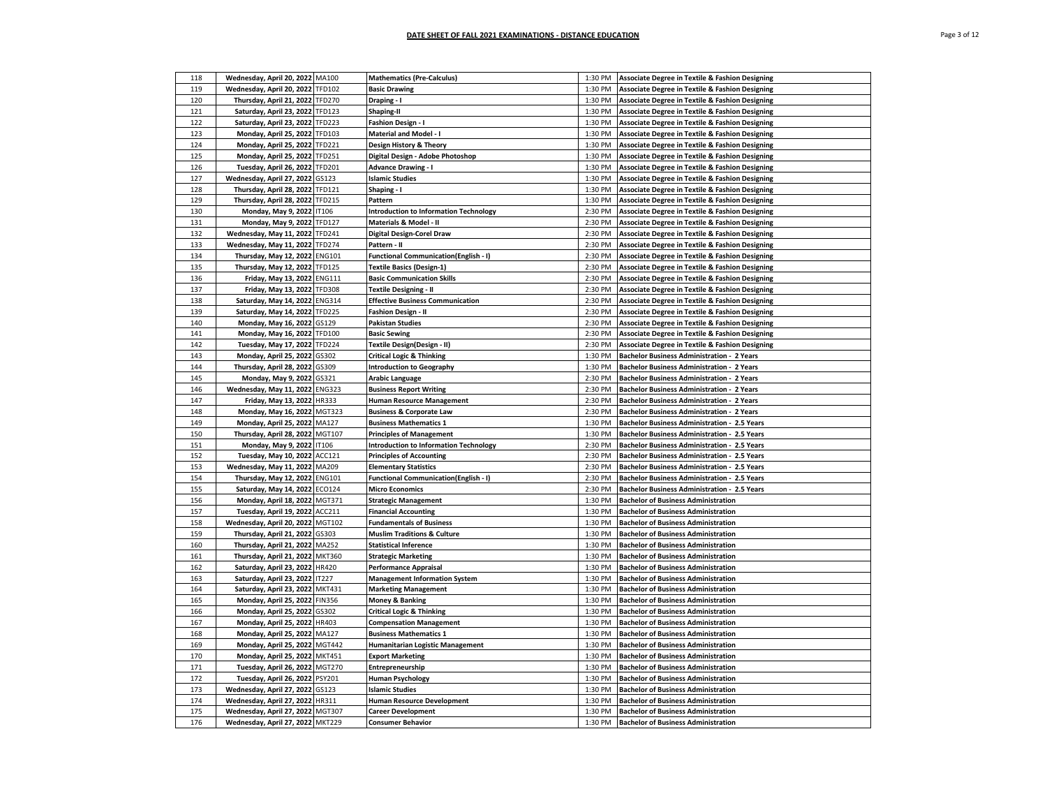| 118        | Wednesday, April 20, 2022 MA100  |               | <b>Mathematics (Pre-Calculus)</b>                                       | 1:30 PM | Associate Degree in Textile & Fashion Designing            |
|------------|----------------------------------|---------------|-------------------------------------------------------------------------|---------|------------------------------------------------------------|
| 119        | Wednesday, April 20, 2022 TFD102 |               | <b>Basic Drawing</b>                                                    | 1:30 PM | <b>Associate Degree in Textile &amp; Fashion Designing</b> |
| 120        | Thursday, April 21, 2022 TFD270  |               | Draping - I                                                             | 1:30 PM | Associate Degree in Textile & Fashion Designing            |
| 121        | Saturday, April 23, 2022         | <b>TFD123</b> | Shaping-II                                                              | 1:30 PM | Associate Degree in Textile & Fashion Designing            |
| 122        | Saturday, April 23, 2022 TFD223  |               | <b>Fashion Design - I</b>                                               | 1:30 PM | <b>Associate Degree in Textile &amp; Fashion Designing</b> |
| 123        | Monday, April 25, 2022 TFD103    |               | <b>Material and Model - I</b>                                           | 1:30 PM | <b>Associate Degree in Textile &amp; Fashion Designing</b> |
| 124        | Monday, April 25, 2022 TFD221    |               | Design History & Theory                                                 | 1:30 PM | <b>Associate Degree in Textile &amp; Fashion Designing</b> |
| 125        | Monday, April 25, 2022           | <b>TFD251</b> | Digital Design - Adobe Photoshop                                        | 1:30 PM | <b>Associate Degree in Textile &amp; Fashion Designing</b> |
| 126        | Tuesday, April 26, 2022 TFD201   |               | <b>Advance Drawing - I</b>                                              | 1:30 PM | <b>Associate Degree in Textile &amp; Fashion Designing</b> |
| 127        | Wednesday, April 27, 2022        | GS123         | <b>Islamic Studies</b>                                                  | 1:30 PM | <b>Associate Degree in Textile &amp; Fashion Designing</b> |
| 128        |                                  | TFD121        | Shaping - I                                                             | 1:30 PM | <b>Associate Degree in Textile &amp; Fashion Designing</b> |
|            | Thursday, April 28, 2022         |               |                                                                         |         |                                                            |
| 129<br>130 | Thursday, April 28, 2022         | <b>TFD215</b> | Pattern                                                                 | 1:30 PM | <b>Associate Degree in Textile &amp; Fashion Designing</b> |
| 131        | Monday, May 9, 2022 IT106        |               | <b>Introduction to Information Technology</b><br>Materials & Model - II | 2:30 PM | <b>Associate Degree in Textile &amp; Fashion Designing</b> |
|            | Monday, May 9, 2022              | <b>TFD127</b> |                                                                         | 2:30 PM | <b>Associate Degree in Textile &amp; Fashion Designing</b> |
| 132        | Wednesday, May 11, 2022          | <b>TFD241</b> | <b>Digital Design-Corel Draw</b>                                        | 2:30 PM | <b>Associate Degree in Textile &amp; Fashion Designing</b> |
| 133        | Wednesday, May 11, 2022 TFD274   |               | Pattern - II                                                            | 2:30 PM | <b>Associate Degree in Textile &amp; Fashion Designing</b> |
| 134        | Thursday, May 12, 2022 ENG101    |               | <b>Functional Communication(English - I)</b>                            | 2:30 PM | <b>Associate Degree in Textile &amp; Fashion Designing</b> |
| 135        | Thursday, May 12, 2022 TFD125    |               | <b>Textile Basics (Design-1)</b>                                        | 2:30 PM | Associate Degree in Textile & Fashion Designing            |
| 136        | Friday, May 13, 2022 ENG111      |               | <b>Basic Communication Skills</b>                                       | 2:30 PM | <b>Associate Degree in Textile &amp; Fashion Designing</b> |
| 137        | Friday, May 13, 2022 TFD308      |               | <b>Textile Designing - II</b>                                           | 2:30 PM | <b>Associate Degree in Textile &amp; Fashion Designing</b> |
| 138        | Saturday, May 14, 2022 ENG314    |               | <b>Effective Business Communication</b>                                 | 2:30 PM | Associate Degree in Textile & Fashion Designing            |
| 139        | Saturday, May 14, 2022           | <b>TFD225</b> | <b>Fashion Design - II</b>                                              | 2:30 PM | Associate Degree in Textile & Fashion Designing            |
| 140        | Monday, May 16, 2022             | GS129         | <b>Pakistan Studies</b>                                                 | 2:30 PM | <b>Associate Degree in Textile &amp; Fashion Designing</b> |
| 141        | Monday, May 16, 2022 TFD100      |               | <b>Basic Sewing</b>                                                     | 2:30 PM | <b>Associate Degree in Textile &amp; Fashion Designing</b> |
| 142        | Tuesday, May 17, 2022 TFD224     |               | Textile Design(Design - II)                                             | 2:30 PM | Associate Degree in Textile & Fashion Designing            |
| 143        | Monday, April 25, 2022           | GS302         | <b>Critical Logic &amp; Thinking</b>                                    | 1:30 PM | <b>Bachelor Business Administration - 2 Years</b>          |
| 144        | Thursday, April 28, 2022 GS309   |               | <b>Introduction to Geography</b>                                        | 1:30 PM | <b>Bachelor Business Administration - 2 Years</b>          |
| 145        | Monday, May 9, 2022              | GS321         | <b>Arabic Language</b>                                                  | 2:30 PM | <b>Bachelor Business Administration - 2 Years</b>          |
| 146        | Wednesday, May 11, 2022          | <b>ENG323</b> | <b>Business Report Writing</b>                                          | 2:30 PM | <b>Bachelor Business Administration - 2 Years</b>          |
| 147        | Friday, May 13, 2022             | HR333         | <b>Human Resource Management</b>                                        | 2:30 PM | <b>Bachelor Business Administration - 2 Years</b>          |
| 148        | Monday, May 16, 2022 MGT323      |               | <b>Business &amp; Corporate Law</b>                                     | 2:30 PM | <b>Bachelor Business Administration - 2 Years</b>          |
| 149        | Monday, April 25, 2022 MA127     |               | <b>Business Mathematics 1</b>                                           | 1:30 PM | Bachelor Business Administration - 2.5 Years               |
| 150        | Thursday, April 28, 2022 MGT107  |               | <b>Principles of Management</b>                                         | 1:30 PM | Bachelor Business Administration - 2.5 Years               |
| 151        | Monday, May 9, 2022 IT106        |               | <b>Introduction to Information Technology</b>                           | 2:30 PM | Bachelor Business Administration - 2.5 Years               |
| 152        | Tuesday, May 10, 2022            | ACC121        | <b>Principles of Accounting</b>                                         | 2:30 PM | Bachelor Business Administration - 2.5 Years               |
| 153        | Wednesday, May 11, 2022 MA209    |               | <b>Elementary Statistics</b>                                            | 2:30 PM | <b>Bachelor Business Administration - 2.5 Years</b>        |
| 154        | Thursday, May 12, 2022 ENG101    |               | <b>Functional Communication(English - I)</b>                            | 2:30 PM | Bachelor Business Administration - 2.5 Years               |
| 155        | Saturday, May 14, 2022 ECO124    |               | <b>Micro Economics</b>                                                  | 2:30 PM | <b>Bachelor Business Administration - 2.5 Years</b>        |
| 156        | Monday, April 18, 2022           | MGT371        | <b>Strategic Management</b>                                             | 1:30 PM | <b>Bachelor of Business Administration</b>                 |
| 157        | Tuesday, April 19, 2022          | ACC211        | <b>Financial Accounting</b>                                             | 1:30 PM | <b>Bachelor of Business Administration</b>                 |
| 158        | Wednesday, April 20, 2022 MGT102 |               | <b>Fundamentals of Business</b>                                         | 1:30 PM | <b>Bachelor of Business Administration</b>                 |
| 159        | Thursday, April 21, 2022 GS303   |               | <b>Muslim Traditions &amp; Culture</b>                                  | 1:30 PM | <b>Bachelor of Business Administration</b>                 |
| 160        | Thursday, April 21, 2022 MA252   |               | <b>Statistical Inference</b>                                            | 1:30 PM | <b>Bachelor of Business Administration</b>                 |
| 161        | Thursday, April 21, 2022         | <b>MKT360</b> | <b>Strategic Marketing</b>                                              | 1:30 PM | <b>Bachelor of Business Administration</b>                 |
| 162        | Saturday, April 23, 2022 HR420   |               | <b>Performance Appraisal</b>                                            | 1:30 PM | <b>Bachelor of Business Administration</b>                 |
| 163        | Saturday, April 23, 2022 IT227   |               | <b>Management Information System</b>                                    | 1:30 PM | <b>Bachelor of Business Administration</b>                 |
| 164        | Saturday, April 23, 2022 MKT431  |               | <b>Marketing Management</b>                                             | 1:30 PM | <b>Bachelor of Business Administration</b>                 |
| 165        | Monday, April 25, 2022           | <b>FIN356</b> | <b>Money &amp; Banking</b>                                              | 1:30 PM | <b>Bachelor of Business Administration</b>                 |
| 166        | Monday, April 25, 2022           | GS302         | <b>Critical Logic &amp; Thinking</b>                                    | 1:30 PM | <b>Bachelor of Business Administration</b>                 |
| 167        | Monday, April 25, 2022           | HR403         | <b>Compensation Management</b>                                          | 1:30 PM | <b>Bachelor of Business Administration</b>                 |
| 168        | Monday, April 25, 2022 MA127     |               | <b>Business Mathematics 1</b>                                           | 1:30 PM | <b>Bachelor of Business Administration</b>                 |
| 169        | Monday, April 25, 2022 MGT442    |               | <b>Humanitarian Logistic Management</b>                                 | 1:30 PM | <b>Bachelor of Business Administration</b>                 |
| 170        | Monday, April 25, 2022 MKT451    |               | <b>Export Marketing</b>                                                 | 1:30 PM | <b>Bachelor of Business Administration</b>                 |
| 171        | Tuesday, April 26, 2022 MGT270   |               | Entrepreneurship                                                        | 1:30 PM | <b>Bachelor of Business Administration</b>                 |
| 172        | Tuesday, April 26, 2022 PSY201   |               | <b>Human Psychology</b>                                                 | 1:30 PM | <b>Bachelor of Business Administration</b>                 |
| 173        | Wednesday, April 27, 2022 GS123  |               | <b>Islamic Studies</b>                                                  | 1:30 PM | <b>Bachelor of Business Administration</b>                 |
| 174        | Wednesday, April 27, 2022 HR311  |               | Human Resource Development                                              | 1:30 PM | <b>Bachelor of Business Administration</b>                 |
| 175        | Wednesday, April 27, 2022 MGT307 |               | <b>Career Development</b>                                               | 1:30 PM | <b>Bachelor of Business Administration</b>                 |
| 176        | Wednesday, April 27, 2022 MKT229 |               | <b>Consumer Behavior</b>                                                | 1:30 PM | <b>Bachelor of Business Administration</b>                 |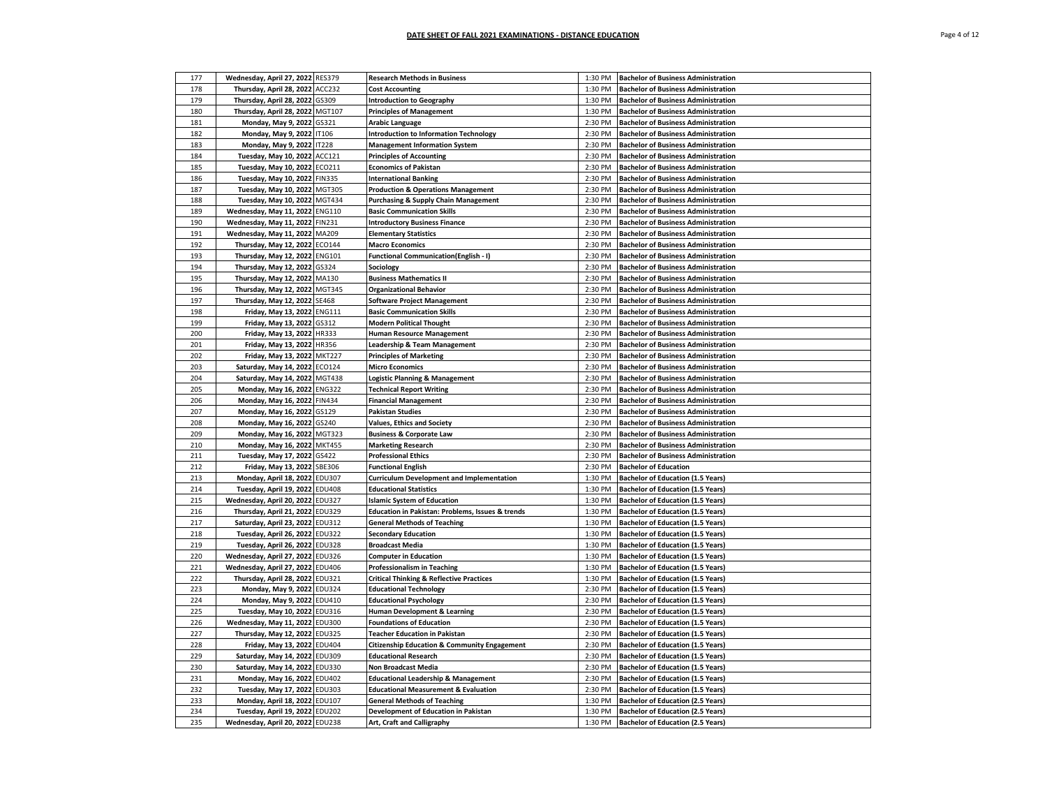| 177 | Wednesday, April 27, 2022 RES379                                     | <b>Research Methods in Business</b>                                | 1:30 PM            | <b>Bachelor of Business Administration</b>                                           |
|-----|----------------------------------------------------------------------|--------------------------------------------------------------------|--------------------|--------------------------------------------------------------------------------------|
| 178 | Thursday, April 28, 2022 ACC232                                      | <b>Cost Accounting</b>                                             | 1:30 PM            | <b>Bachelor of Business Administration</b>                                           |
| 179 | Thursday, April 28, 2022 GS309                                       | <b>Introduction to Geography</b>                                   | 1:30 PM            | <b>Bachelor of Business Administration</b>                                           |
| 180 | Thursday, April 28, 2022 MGT107                                      | <b>Principles of Management</b>                                    | 1:30 PM            | <b>Bachelor of Business Administration</b>                                           |
| 181 | Monday, May 9, 2022 GS321                                            | <b>Arabic Language</b>                                             | 2:30 PM            | <b>Bachelor of Business Administration</b>                                           |
| 182 | Monday, May 9, 2022 IT106                                            | <b>Introduction to Information Technology</b>                      | 2:30 PM            | <b>Bachelor of Business Administration</b>                                           |
| 183 | Monday, May 9, 2022 IT228                                            | <b>Management Information System</b>                               | 2:30 PM            | <b>Bachelor of Business Administration</b>                                           |
| 184 | Tuesday, May 10, 2022 ACC121                                         | <b>Principles of Accounting</b>                                    | 2:30 PM            | <b>Bachelor of Business Administration</b>                                           |
| 185 | Tuesday, May 10, 2022 ECO211                                         | <b>Economics of Pakistan</b>                                       | 2:30 PM            | <b>Bachelor of Business Administration</b>                                           |
| 186 | Tuesday, May 10, 2022 FIN335                                         | <b>International Banking</b>                                       | 2:30 PM            | <b>Bachelor of Business Administration</b>                                           |
| 187 | Tuesday, May 10, 2022 MGT305                                         | <b>Production &amp; Operations Management</b>                      | 2:30 PM            | <b>Bachelor of Business Administration</b>                                           |
| 188 | Tuesday, May 10, 2022 MGT434                                         | <b>Purchasing &amp; Supply Chain Management</b>                    | 2:30 PM            | <b>Bachelor of Business Administration</b>                                           |
| 189 | Wednesday, May 11, 2022 ENG110                                       | <b>Basic Communication Skills</b>                                  | 2:30 PM            | <b>Bachelor of Business Administration</b>                                           |
| 190 | Wednesday, May 11, 2022 FIN231                                       | <b>Introductory Business Finance</b>                               | 2:30 PM            | <b>Bachelor of Business Administration</b>                                           |
| 191 |                                                                      |                                                                    |                    |                                                                                      |
| 192 | Wednesday, May 11, 2022 MA209                                        | <b>Elementary Statistics</b>                                       | 2:30 PM            | <b>Bachelor of Business Administration</b>                                           |
|     | Thursday, May 12, 2022 ECO144                                        | <b>Macro Economics</b>                                             | 2:30 PM            | <b>Bachelor of Business Administration</b>                                           |
| 193 | Thursday, May 12, 2022 ENG101                                        | <b>Functional Communication(English - I)</b>                       | 2:30 PM            | <b>Bachelor of Business Administration</b>                                           |
| 194 | Thursday, May 12, 2022 GS324                                         | Sociology                                                          | 2:30 PM            | <b>Bachelor of Business Administration</b>                                           |
| 195 | Thursday, May 12, 2022 MA130                                         | <b>Business Mathematics II</b>                                     | 2:30 PM            | <b>Bachelor of Business Administration</b>                                           |
| 196 | Thursday, May 12, 2022 MGT345                                        | <b>Organizational Behavior</b>                                     | 2:30 PM            | <b>Bachelor of Business Administration</b>                                           |
| 197 | Thursday, May 12, 2022 SE468                                         | <b>Software Project Management</b>                                 | 2:30 PM            | <b>Bachelor of Business Administration</b>                                           |
| 198 | Friday, May 13, 2022 ENG111                                          | <b>Basic Communication Skills</b>                                  | 2:30 PM            | <b>Bachelor of Business Administration</b>                                           |
| 199 | Friday, May 13, 2022 GS312                                           | <b>Modern Political Thought</b>                                    | 2:30 PM            | <b>Bachelor of Business Administration</b>                                           |
| 200 | Friday, May 13, 2022 HR333                                           | <b>Human Resource Management</b>                                   | 2:30 PM            | <b>Bachelor of Business Administration</b>                                           |
| 201 | Friday, May 13, 2022 HR356                                           | Leadership & Team Management                                       | 2:30 PM            | <b>Bachelor of Business Administration</b>                                           |
| 202 | Friday, May 13, 2022 MKT227                                          | <b>Principles of Marketing</b>                                     | 2:30 PM            | <b>Bachelor of Business Administration</b>                                           |
| 203 | Saturday, May 14, 2022 ECO124                                        | <b>Micro Economics</b>                                             | 2:30 PM            | <b>Bachelor of Business Administration</b>                                           |
| 204 | Saturday, May 14, 2022 MGT438                                        | Logistic Planning & Management                                     | 2:30 PM            | <b>Bachelor of Business Administration</b>                                           |
| 205 | Monday, May 16, 2022 ENG322                                          | <b>Technical Report Writing</b>                                    | 2:30 PM            | <b>Bachelor of Business Administration</b>                                           |
| 206 | Monday, May 16, 2022 FIN434                                          | <b>Financial Management</b>                                        | 2:30 PM            | <b>Bachelor of Business Administration</b>                                           |
| 207 | Monday, May 16, 2022 GS129                                           | <b>Pakistan Studies</b>                                            | 2:30 PM            | <b>Bachelor of Business Administration</b>                                           |
| 208 | Monday, May 16, 2022 GS240                                           | <b>Values, Ethics and Society</b>                                  | 2:30 PM            | <b>Bachelor of Business Administration</b>                                           |
| 209 | Monday, May 16, 2022 MGT323                                          | <b>Business &amp; Corporate Law</b>                                | 2:30 PM            | <b>Bachelor of Business Administration</b>                                           |
| 210 | Monday, May 16, 2022 MKT455                                          | <b>Marketing Research</b>                                          | 2:30 PM            | <b>Bachelor of Business Administration</b>                                           |
| 211 | Tuesday, May 17, 2022 GS422                                          | <b>Professional Ethics</b>                                         | 2:30 PM            | <b>Bachelor of Business Administration</b>                                           |
| 212 | Friday, May 13, 2022 SBE306                                          | <b>Functional English</b>                                          | 2:30 PM            | <b>Bachelor of Education</b>                                                         |
| 213 | Monday, April 18, 2022 EDU307                                        | <b>Curriculum Development and Implementation</b>                   | 1:30 PM            | <b>Bachelor of Education (1.5 Years)</b>                                             |
| 214 | Tuesday, April 19, 2022 EDU408                                       | <b>Educational Statistics</b>                                      | 1:30 PM            | <b>Bachelor of Education (1.5 Years)</b>                                             |
| 215 | Wednesday, April 20, 2022 EDU327                                     | <b>Islamic System of Education</b>                                 | 1:30 PM            | <b>Bachelor of Education (1.5 Years)</b>                                             |
| 216 | Thursday, April 21, 2022 EDU329                                      | Education in Pakistan: Problems, Issues & trends                   | 1:30 PM            | <b>Bachelor of Education (1.5 Years)</b>                                             |
| 217 | Saturday, April 23, 2022 EDU312                                      | <b>General Methods of Teaching</b>                                 | 1:30 PM            | <b>Bachelor of Education (1.5 Years)</b>                                             |
| 218 | Tuesday, April 26, 2022 EDU322                                       | <b>Secondary Education</b>                                         | 1:30 PM            | <b>Bachelor of Education (1.5 Years)</b>                                             |
| 219 | Tuesday, April 26, 2022 EDU328                                       | <b>Broadcast Media</b>                                             | 1:30 PM            | <b>Bachelor of Education (1.5 Years)</b>                                             |
| 220 |                                                                      |                                                                    |                    |                                                                                      |
| 221 | Wednesday, April 27, 2022 EDU326<br>Wednesday, April 27, 2022 EDU406 | <b>Computer in Education</b><br><b>Professionalism in Teaching</b> | 1:30 PM<br>1:30 PM | <b>Bachelor of Education (1.5 Years)</b><br><b>Bachelor of Education (1.5 Years)</b> |
| 222 |                                                                      |                                                                    | 1:30 PM            | <b>Bachelor of Education (1.5 Years)</b>                                             |
|     | Thursday, April 28, 2022 EDU321                                      | <b>Critical Thinking &amp; Reflective Practices</b>                |                    |                                                                                      |
| 223 | Monday, May 9, 2022 EDU324                                           | <b>Educational Technology</b>                                      | 2:30 PM            | <b>Bachelor of Education (1.5 Years)</b>                                             |
| 224 | Monday, May 9, 2022 EDU410                                           | <b>Educational Psychology</b>                                      | 2:30 PM            | <b>Bachelor of Education (1.5 Years)</b>                                             |
| 225 | Tuesday, May 10, 2022 EDU316                                         | <b>Human Development &amp; Learning</b>                            | 2:30 PM            | <b>Bachelor of Education (1.5 Years)</b>                                             |
| 226 | Wednesday, May 11, 2022 EDU300                                       | <b>Foundations of Education</b>                                    | 2:30 PM            | <b>Bachelor of Education (1.5 Years)</b>                                             |
| 227 | Thursday, May 12, 2022 EDU325                                        | <b>Teacher Education in Pakistan</b>                               | 2:30 PM            | <b>Bachelor of Education (1.5 Years)</b>                                             |
| 228 | Friday, May 13, 2022 EDU404                                          | Citizenship Education & Community Engagement                       | 2:30 PM            | <b>Bachelor of Education (1.5 Years)</b>                                             |
| 229 | Saturday, May 14, 2022 EDU309                                        | <b>Educational Research</b>                                        | 2:30 PM            | <b>Bachelor of Education (1.5 Years)</b>                                             |
| 230 | Saturday, May 14, 2022 EDU330                                        | <b>Non Broadcast Media</b>                                         | 2:30 PM            | <b>Bachelor of Education (1.5 Years)</b>                                             |
| 231 | Monday, May 16, 2022 EDU402                                          | <b>Educational Leadership &amp; Management</b>                     | 2:30 PM            | <b>Bachelor of Education (1.5 Years)</b>                                             |
| 232 | Tuesday, May 17, 2022 EDU303                                         | <b>Educational Measurement &amp; Evaluation</b>                    | 2:30 PM            | <b>Bachelor of Education (1.5 Years)</b>                                             |
| 233 | Monday, April 18, 2022 EDU107                                        | <b>General Methods of Teaching</b>                                 | 1:30 PM            | <b>Bachelor of Education (2.5 Years)</b>                                             |
| 234 | Tuesday, April 19, 2022 EDU202                                       | Development of Education in Pakistan                               | 1:30 PM            | <b>Bachelor of Education (2.5 Years)</b>                                             |
| 235 | Wednesday, April 20, 2022 EDU238                                     | Art, Craft and Calligraphy                                         | 1:30 PM            | <b>Bachelor of Education (2.5 Years)</b>                                             |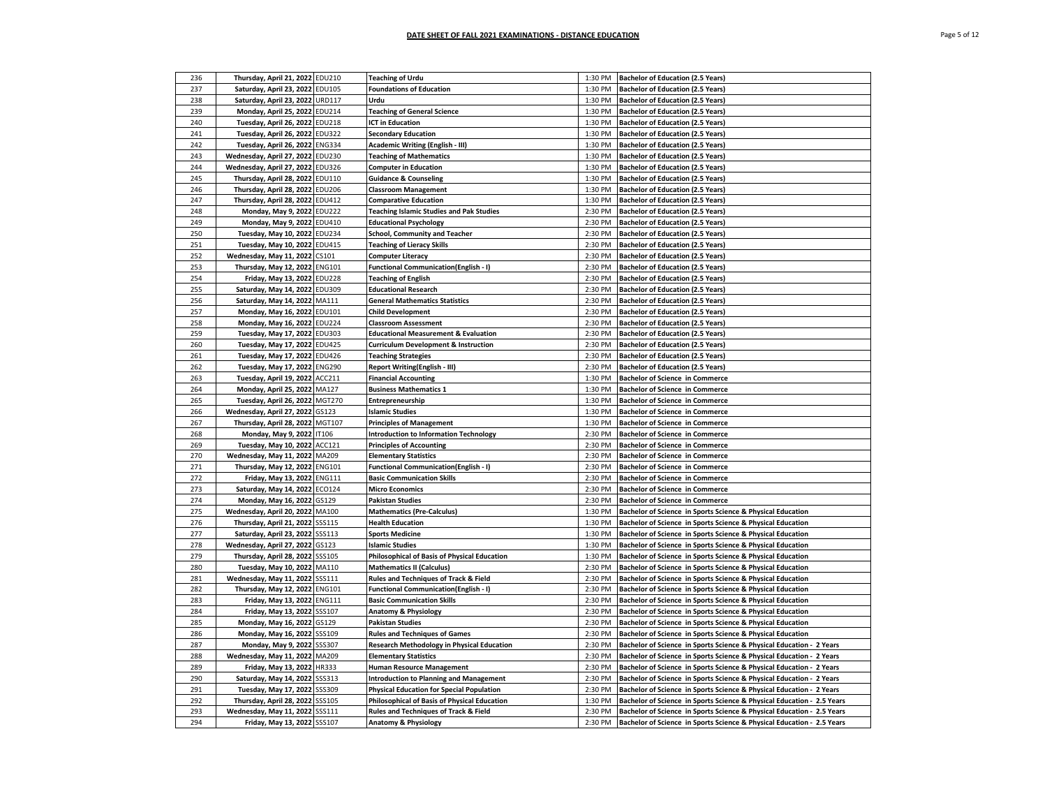| 236 | Thursday, April 21, 2022 EDU210  |               | <b>Teaching of Urdu</b>                           | 1:30 PM | <b>Bachelor of Education (2.5 Years)</b>                               |
|-----|----------------------------------|---------------|---------------------------------------------------|---------|------------------------------------------------------------------------|
| 237 | Saturday, April 23, 2022 EDU105  |               | <b>Foundations of Education</b>                   | 1:30 PM | <b>Bachelor of Education (2.5 Years)</b>                               |
| 238 | Saturday, April 23, 2022 URD117  |               | Urdu                                              | 1:30 PM | <b>Bachelor of Education (2.5 Years)</b>                               |
| 239 | Monday, April 25, 2022 EDU214    |               | <b>Teaching of General Science</b>                | 1:30 PM | <b>Bachelor of Education (2.5 Years)</b>                               |
| 240 | Tuesday, April 26, 2022 EDU218   |               | <b>ICT in Education</b>                           | 1:30 PM | <b>Bachelor of Education (2.5 Years)</b>                               |
| 241 | Tuesday, April 26, 2022 EDU322   |               | <b>Secondary Education</b>                        | 1:30 PM | <b>Bachelor of Education (2.5 Years)</b>                               |
| 242 | Tuesday, April 26, 2022 ENG334   |               | Academic Writing (English - III)                  | 1:30 PM | <b>Bachelor of Education (2.5 Years)</b>                               |
|     |                                  |               |                                                   |         |                                                                        |
| 243 | Wednesday, April 27, 2022 EDU230 |               | <b>Teaching of Mathematics</b>                    | 1:30 PM | <b>Bachelor of Education (2.5 Years)</b>                               |
| 244 | Wednesday, April 27, 2022 EDU326 |               | <b>Computer in Education</b>                      | 1:30 PM | <b>Bachelor of Education (2.5 Years)</b>                               |
| 245 | Thursday, April 28, 2022 EDU110  |               | <b>Guidance &amp; Counseling</b>                  | 1:30 PM | <b>Bachelor of Education (2.5 Years)</b>                               |
| 246 | Thursday, April 28, 2022 EDU206  |               | <b>Classroom Management</b>                       | 1:30 PM | <b>Bachelor of Education (2.5 Years)</b>                               |
| 247 | Thursday, April 28, 2022         | <b>EDU412</b> | <b>Comparative Education</b>                      | 1:30 PM | <b>Bachelor of Education (2.5 Years)</b>                               |
| 248 | Monday, May 9, 2022              | <b>EDU222</b> | <b>Teaching Islamic Studies and Pak Studies</b>   | 2:30 PM | <b>Bachelor of Education (2.5 Years)</b>                               |
| 249 | Monday, May 9, 2022              | EDU410        | <b>Educational Psychology</b>                     | 2:30 PM | <b>Bachelor of Education (2.5 Years)</b>                               |
| 250 | Tuesday, May 10, 2022 EDU234     |               | <b>School, Community and Teacher</b>              | 2:30 PM | <b>Bachelor of Education (2.5 Years)</b>                               |
| 251 | Tuesday, May 10, 2022 EDU415     |               | <b>Teaching of Lieracy Skills</b>                 | 2:30 PM | <b>Bachelor of Education (2.5 Years)</b>                               |
| 252 | Wednesday, May 11, 2022 CS101    |               | <b>Computer Literacy</b>                          | 2:30 PM | <b>Bachelor of Education (2.5 Years)</b>                               |
| 253 | Thursday, May 12, 2022 ENG101    |               | Functional Communication(English - I)             | 2:30 PM | <b>Bachelor of Education (2.5 Years)</b>                               |
| 254 | Friday, May 13, 2022 EDU228      |               | <b>Teaching of English</b>                        | 2:30 PM | <b>Bachelor of Education (2.5 Years)</b>                               |
| 255 | Saturday, May 14, 2022 EDU309    |               | <b>Educational Research</b>                       | 2:30 PM | <b>Bachelor of Education (2.5 Years)</b>                               |
| 256 | Saturday, May 14, 2022 MA111     |               | <b>General Mathematics Statistics</b>             | 2:30 PM | <b>Bachelor of Education (2.5 Years)</b>                               |
| 257 | Monday, May 16, 2022 EDU101      |               | <b>Child Development</b>                          | 2:30 PM | <b>Bachelor of Education (2.5 Years)</b>                               |
| 258 | Monday, May 16, 2022 EDU224      |               | <b>Classroom Assessment</b>                       | 2:30 PM | <b>Bachelor of Education (2.5 Years)</b>                               |
| 259 | Tuesday, May 17, 2022 EDU303     |               | <b>Educational Measurement &amp; Evaluation</b>   | 2:30 PM | <b>Bachelor of Education (2.5 Years)</b>                               |
| 260 | Tuesday, May 17, 2022 EDU425     |               | <b>Curriculum Development &amp; Instruction</b>   | 2:30 PM | <b>Bachelor of Education (2.5 Years)</b>                               |
| 261 | Tuesday, May 17, 2022 EDU426     |               | <b>Teaching Strategies</b>                        | 2:30 PM | <b>Bachelor of Education (2.5 Years)</b>                               |
| 262 | Tuesday, May 17, 2022 ENG290     |               | Report Writing(English - III)                     | 2:30 PM | <b>Bachelor of Education (2.5 Years)</b>                               |
| 263 | Tuesday, April 19, 2022 ACC211   |               | <b>Financial Accounting</b>                       | 1:30 PM | <b>Bachelor of Science in Commerce</b>                                 |
| 264 | Monday, April 25, 2022           | MA127         | <b>Business Mathematics 1</b>                     | 1:30 PM | <b>Bachelor of Science in Commerce</b>                                 |
| 265 | Tuesday, April 26, 2022 MGT270   |               | Entrepreneurship                                  | 1:30 PM | <b>Bachelor of Science in Commerce</b>                                 |
| 266 | Wednesday, April 27, 2022 GS123  |               | <b>Islamic Studies</b>                            | 1:30 PM | <b>Bachelor of Science in Commerce</b>                                 |
|     |                                  |               |                                                   |         |                                                                        |
| 267 | Thursday, April 28, 2022 MGT107  |               | <b>Principles of Management</b>                   | 1:30 PM | <b>Bachelor of Science in Commerce</b>                                 |
| 268 | Monday, May 9, 2022 IT106        |               | <b>Introduction to Information Technology</b>     | 2:30 PM | <b>Bachelor of Science in Commerce</b>                                 |
| 269 | Tuesday, May 10, 2022 ACC121     |               | <b>Principles of Accounting</b>                   | 2:30 PM | <b>Bachelor of Science in Commerce</b>                                 |
| 270 | Wednesday, May 11, 2022 MA209    |               | <b>Elementary Statistics</b>                      | 2:30 PM | <b>Bachelor of Science in Commerce</b>                                 |
| 271 | Thursday, May 12, 2022 ENG101    |               | <b>Functional Communication(English - I)</b>      | 2:30 PM | <b>Bachelor of Science in Commerce</b>                                 |
| 272 | Friday, May 13, 2022 ENG111      |               | <b>Basic Communication Skills</b>                 | 2:30 PM | <b>Bachelor of Science in Commerce</b>                                 |
| 273 | Saturday, May 14, 2022 ECO124    |               | <b>Micro Economics</b>                            | 2:30 PM | <b>Bachelor of Science in Commerce</b>                                 |
| 274 | Monday, May 16, 2022 GS129       |               | Pakistan Studies                                  | 2:30 PM | <b>Bachelor of Science in Commerce</b>                                 |
| 275 | Wednesday, April 20, 2022 MA100  |               | <b>Mathematics (Pre-Calculus)</b>                 | 1:30 PM | Bachelor of Science in Sports Science & Physical Education             |
| 276 | Thursday, April 21, 2022 SSS115  |               | <b>Health Education</b>                           | 1:30 PM | Bachelor of Science in Sports Science & Physical Education             |
| 277 | Saturday, April 23, 2022 SSS113  |               | <b>Sports Medicine</b>                            | 1:30 PM | Bachelor of Science in Sports Science & Physical Education             |
| 278 | Wednesday, April 27, 2022 GS123  |               | <b>Islamic Studies</b>                            | 1:30 PM | Bachelor of Science in Sports Science & Physical Education             |
| 279 | Thursday, April 28, 2022 SSS105  |               | Philosophical of Basis of Physical Education      | 1:30 PM | Bachelor of Science in Sports Science & Physical Education             |
| 280 | Tuesday, May 10, 2022 MA110      |               | <b>Mathematics II (Calculus)</b>                  | 2:30 PM | Bachelor of Science in Sports Science & Physical Education             |
| 281 | Wednesday, May 11, 2022          | SSS111        | Rules and Techniques of Track & Field             | 2:30 PM | Bachelor of Science in Sports Science & Physical Education             |
| 282 | Thursday, May 12, 2022 ENG101    |               | <b>Functional Communication(English - I)</b>      | 2:30 PM | Bachelor of Science in Sports Science & Physical Education             |
| 283 | Friday, May 13, 2022 ENG111      |               | <b>Basic Communication Skills</b>                 | 2:30 PM | Bachelor of Science in Sports Science & Physical Education             |
| 284 | Friday, May 13, 2022 SSS107      |               | <b>Anatomy &amp; Physiology</b>                   | 2:30 PM | Bachelor of Science in Sports Science & Physical Education             |
| 285 | Monday, May 16, 2022 GS129       |               | <b>Pakistan Studies</b>                           | 2:30 PM | Bachelor of Science in Sports Science & Physical Education             |
| 286 | Monday, May 16, 2022 SSS109      |               | <b>Rules and Techniques of Games</b>              | 2:30 PM | Bachelor of Science in Sports Science & Physical Education             |
| 287 | Monday, May 9, 2022 SSS307       |               | <b>Research Methodology in Physical Education</b> | 2:30 PM | Bachelor of Science in Sports Science & Physical Education - 2 Years   |
| 288 | Wednesday, May 11, 2022 MA209    |               | <b>Elementary Statistics</b>                      | 2:30 PM | Bachelor of Science in Sports Science & Physical Education - 2 Years   |
| 289 | Friday, May 13, 2022 HR333       |               | <b>Human Resource Management</b>                  | 2:30 PM | Bachelor of Science in Sports Science & Physical Education - 2 Years   |
| 290 | Saturday, May 14, 2022 SSS313    |               | <b>Introduction to Planning and Management</b>    | 2:30 PM | Bachelor of Science in Sports Science & Physical Education - 2 Years   |
| 291 | Tuesday, May 17, 2022            | <b>SSS309</b> | <b>Physical Education for Special Population</b>  | 2:30 PM | Bachelor of Science in Sports Science & Physical Education - 2 Years   |
| 292 | Thursday, April 28, 2022 SSS105  |               | Philosophical of Basis of Physical Education      | 1:30 PM | Bachelor of Science in Sports Science & Physical Education - 2.5 Years |
| 293 | Wednesday, May 11, 2022 SSS111   |               |                                                   | 2:30 PM |                                                                        |
|     |                                  |               | Rules and Techniques of Track & Field             |         | Bachelor of Science in Sports Science & Physical Education - 2.5 Years |
| 294 | Friday, May 13, 2022 SSS107      |               | <b>Anatomy &amp; Physiology</b>                   | 2:30 PM | Bachelor of Science in Sports Science & Physical Education - 2.5 Years |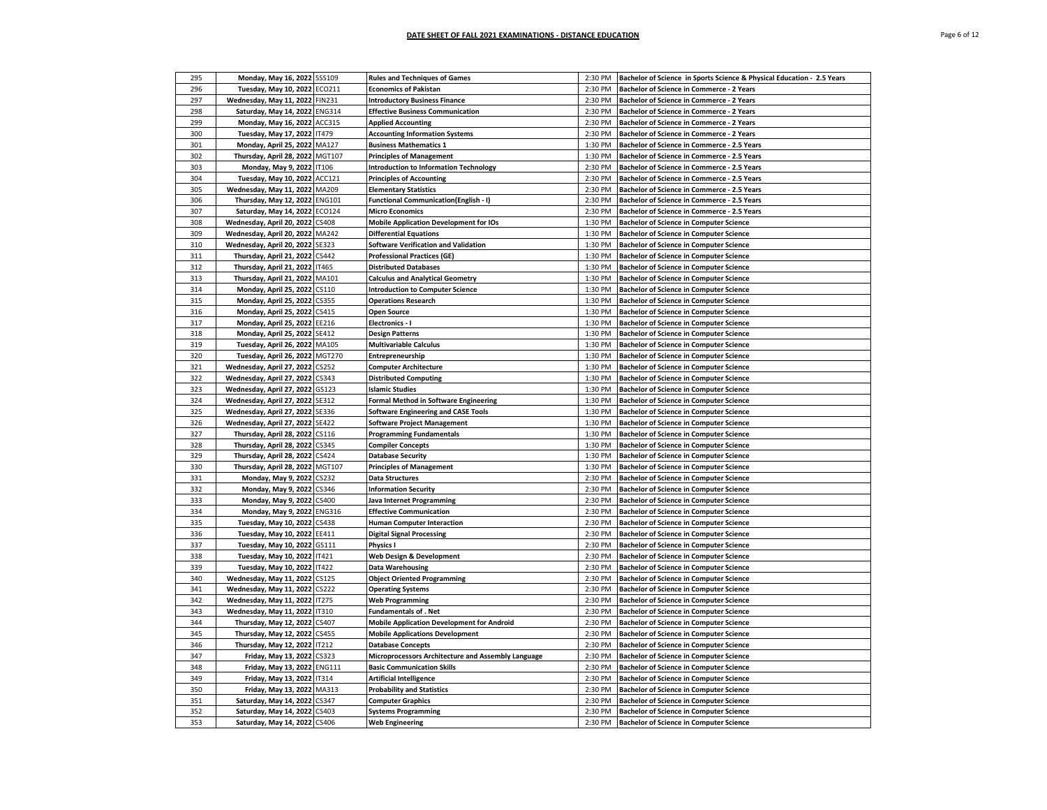| 295 | Monday, May 16, 2022 SSS109                                        | <b>Rules and Techniques of Games</b>                                         | 2:30 PM | Bachelor of Science in Sports Science & Physical Education - 2.5 Years                           |
|-----|--------------------------------------------------------------------|------------------------------------------------------------------------------|---------|--------------------------------------------------------------------------------------------------|
| 296 | Tuesday, May 10, 2022 ECO211                                       | <b>Economics of Pakistan</b>                                                 | 2:30 PM | Bachelor of Science in Commerce - 2 Years                                                        |
| 297 | Wednesday, May 11, 2022 FIN231                                     | <b>Introductory Business Finance</b>                                         | 2:30 PM | Bachelor of Science in Commerce - 2 Years                                                        |
| 298 | Saturday, May 14, 2022 ENG314                                      | <b>Effective Business Communication</b>                                      | 2:30 PM | Bachelor of Science in Commerce - 2 Years                                                        |
| 299 | Monday, May 16, 2022 ACC315                                        | <b>Applied Accounting</b>                                                    | 2:30 PM | <b>Bachelor of Science in Commerce - 2 Years</b>                                                 |
| 300 | Tuesday, May 17, 2022 IT479                                        | <b>Accounting Information Systems</b>                                        | 2:30 PM | <b>Bachelor of Science in Commerce - 2 Years</b>                                                 |
| 301 | Monday, April 25, 2022 MA127                                       | <b>Business Mathematics 1</b>                                                | 1:30 PM | Bachelor of Science in Commerce - 2.5 Years                                                      |
| 302 | Thursday, April 28, 2022 MGT107                                    | <b>Principles of Management</b>                                              | 1:30 PM | Bachelor of Science in Commerce - 2.5 Years                                                      |
| 303 | Monday, May 9, 2022 IT106                                          | <b>Introduction to Information Technology</b>                                | 2:30 PM | Bachelor of Science in Commerce - 2.5 Years                                                      |
| 304 | Tuesday, May 10, 2022 ACC121                                       | <b>Principles of Accounting</b>                                              | 2:30 PM | Bachelor of Science in Commerce - 2.5 Years                                                      |
| 305 | Wednesday, May 11, 2022 MA209                                      | <b>Elementary Statistics</b>                                                 | 2:30 PM | Bachelor of Science in Commerce - 2.5 Years                                                      |
| 306 | Thursday, May 12, 2022 ENG101                                      | <b>Functional Communication(English - I)</b>                                 | 2:30 PM | Bachelor of Science in Commerce - 2.5 Years                                                      |
| 307 | Saturday, May 14, 2022 ECO124                                      | <b>Micro Economics</b>                                                       | 2:30 PM | Bachelor of Science in Commerce - 2.5 Years                                                      |
| 308 | Wednesday, April 20, 2022 CS408                                    | <b>Mobile Application Development for IOs</b>                                | 1:30 PM | <b>Bachelor of Science in Computer Science</b>                                                   |
| 309 |                                                                    |                                                                              | 1:30 PM |                                                                                                  |
| 310 | Wednesday, April 20, 2022 MA242<br>Wednesday, April 20, 2022 SE323 | <b>Differential Equations</b><br><b>Software Verification and Validation</b> | 1:30 PM | <b>Bachelor of Science in Computer Science</b><br><b>Bachelor of Science in Computer Science</b> |
|     |                                                                    |                                                                              |         |                                                                                                  |
| 311 | Thursday, April 21, 2022 CS442                                     | <b>Professional Practices (GE)</b>                                           | 1:30 PM | <b>Bachelor of Science in Computer Science</b>                                                   |
| 312 | Thursday, April 21, 2022   17465                                   | <b>Distributed Databases</b>                                                 | 1:30 PM | <b>Bachelor of Science in Computer Science</b>                                                   |
| 313 | Thursday, April 21, 2022 MA101                                     | <b>Calculus and Analytical Geometry</b>                                      | 1:30 PM | <b>Bachelor of Science in Computer Science</b>                                                   |
| 314 | Monday, April 25, 2022 CS110                                       | <b>Introduction to Computer Science</b>                                      | 1:30 PM | <b>Bachelor of Science in Computer Science</b>                                                   |
| 315 | Monday, April 25, 2022 CS355                                       | <b>Operations Research</b>                                                   | 1:30 PM | <b>Bachelor of Science in Computer Science</b>                                                   |
| 316 | Monday, April 25, 2022 CS415                                       | <b>Open Source</b>                                                           | 1:30 PM | <b>Bachelor of Science in Computer Science</b>                                                   |
| 317 | Monday, April 25, 2022 EE216                                       | <b>Electronics - I</b>                                                       | 1:30 PM | <b>Bachelor of Science in Computer Science</b>                                                   |
| 318 | Monday, April 25, 2022 SE412                                       | <b>Design Patterns</b>                                                       | 1:30 PM | <b>Bachelor of Science in Computer Science</b>                                                   |
| 319 | Tuesday, April 26, 2022 MA105                                      | <b>Multivariable Calculus</b>                                                | 1:30 PM | <b>Bachelor of Science in Computer Science</b>                                                   |
| 320 | Tuesday, April 26, 2022 MGT270                                     | <b>Entrepreneurship</b>                                                      | 1:30 PM | <b>Bachelor of Science in Computer Science</b>                                                   |
| 321 | Wednesday, April 27, 2022 CS252                                    | <b>Computer Architecture</b>                                                 | 1:30 PM | <b>Bachelor of Science in Computer Science</b>                                                   |
| 322 | Wednesday, April 27, 2022 CS343                                    | <b>Distributed Computing</b>                                                 | 1:30 PM | <b>Bachelor of Science in Computer Science</b>                                                   |
| 323 | Wednesday, April 27, 2022 GS123                                    | <b>Islamic Studies</b>                                                       | 1:30 PM | <b>Bachelor of Science in Computer Science</b>                                                   |
| 324 | Wednesday, April 27, 2022 SE312                                    | <b>Formal Method in Software Engineering</b>                                 | 1:30 PM | <b>Bachelor of Science in Computer Science</b>                                                   |
| 325 | Wednesday, April 27, 2022 SE336                                    | <b>Software Engineering and CASE Tools</b>                                   | 1:30 PM | <b>Bachelor of Science in Computer Science</b>                                                   |
| 326 | Wednesday, April 27, 2022 SE422                                    | Software Project Management                                                  | 1:30 PM | <b>Bachelor of Science in Computer Science</b>                                                   |
| 327 | Thursday, April 28, 2022 CS116                                     | <b>Programming Fundamentals</b>                                              | 1:30 PM | <b>Bachelor of Science in Computer Science</b>                                                   |
| 328 | Thursday, April 28, 2022 CS345                                     | <b>Compiler Concepts</b>                                                     | 1:30 PM | <b>Bachelor of Science in Computer Science</b>                                                   |
| 329 | Thursday, April 28, 2022 CS424                                     | <b>Database Security</b>                                                     | 1:30 PM | <b>Bachelor of Science in Computer Science</b>                                                   |
| 330 | Thursday, April 28, 2022 MGT107                                    | <b>Principles of Management</b>                                              | 1:30 PM | <b>Bachelor of Science in Computer Science</b>                                                   |
| 331 | Monday, May 9, 2022 CS232                                          | <b>Data Structures</b>                                                       | 2:30 PM | <b>Bachelor of Science in Computer Science</b>                                                   |
| 332 | Monday, May 9, 2022 CS346                                          | <b>Information Security</b>                                                  | 2:30 PM | <b>Bachelor of Science in Computer Science</b>                                                   |
| 333 | Monday, May 9, 2022 CS400                                          | Java Internet Programming                                                    | 2:30 PM | <b>Bachelor of Science in Computer Science</b>                                                   |
| 334 | Monday, May 9, 2022 ENG316                                         | <b>Effective Communication</b>                                               | 2:30 PM | <b>Bachelor of Science in Computer Science</b>                                                   |
| 335 | Tuesday, May 10, 2022 CS438                                        | <b>Human Computer Interaction</b>                                            | 2:30 PM | <b>Bachelor of Science in Computer Science</b>                                                   |
| 336 | Tuesday, May 10, 2022 EE411                                        | <b>Digital Signal Processing</b>                                             | 2:30 PM | <b>Bachelor of Science in Computer Science</b>                                                   |
| 337 | Tuesday, May 10, 2022 GS111                                        | Physics I                                                                    | 2:30 PM | <b>Bachelor of Science in Computer Science</b>                                                   |
| 338 | Tuesday, May 10, 2022 IT421                                        |                                                                              | 2:30 PM | <b>Bachelor of Science in Computer Science</b>                                                   |
| 339 | Tuesday, May 10, 2022 IT422                                        | Web Design & Development<br>Data Warehousing                                 | 2:30 PM | <b>Bachelor of Science in Computer Science</b>                                                   |
| 340 | Wednesday, May 11, 2022 CS125                                      | <b>Object Oriented Programming</b>                                           | 2:30 PM | <b>Bachelor of Science in Computer Science</b>                                                   |
| 341 |                                                                    |                                                                              | 2:30 PM |                                                                                                  |
| 342 | Wednesday, May 11, 2022 CS222                                      | <b>Operating Systems</b>                                                     | 2:30 PM | <b>Bachelor of Science in Computer Science</b><br><b>Bachelor of Science in Computer Science</b> |
|     | Wednesday, May 11, 2022 IT275                                      | <b>Web Programming</b>                                                       |         |                                                                                                  |
| 343 | Wednesday, May 11, 2022 IT310                                      | <b>Fundamentals of . Net</b>                                                 | 2:30 PM | <b>Bachelor of Science in Computer Science</b>                                                   |
| 344 | Thursday, May 12, 2022 CS407                                       | <b>Mobile Application Development for Android</b>                            | 2:30 PM | <b>Bachelor of Science in Computer Science</b>                                                   |
| 345 | Thursday, May 12, 2022 CS455                                       | <b>Mobile Applications Development</b>                                       | 2:30 PM | <b>Bachelor of Science in Computer Science</b>                                                   |
| 346 | Thursday, May 12, 2022 IT212                                       | <b>Database Concepts</b>                                                     | 2:30 PM | <b>Bachelor of Science in Computer Science</b>                                                   |
| 347 | Friday, May 13, 2022 CS323                                         | Microprocessors Architecture and Assembly Language                           | 2:30 PM | <b>Bachelor of Science in Computer Science</b>                                                   |
| 348 | Friday, May 13, 2022 ENG111                                        | <b>Basic Communication Skills</b>                                            | 2:30 PM | <b>Bachelor of Science in Computer Science</b>                                                   |
| 349 | Friday, May 13, 2022 IT314                                         | <b>Artificial Intelligence</b>                                               | 2:30 PM | <b>Bachelor of Science in Computer Science</b>                                                   |
| 350 | Friday, May 13, 2022 MA313                                         | <b>Probability and Statistics</b>                                            | 2:30 PM | <b>Bachelor of Science in Computer Science</b>                                                   |
| 351 | Saturday, May 14, 2022 CS347                                       | <b>Computer Graphics</b>                                                     | 2:30 PM | <b>Bachelor of Science in Computer Science</b>                                                   |
| 352 | Saturday, May 14, 2022 CS403                                       | <b>Systems Programming</b>                                                   | 2:30 PM | <b>Bachelor of Science in Computer Science</b>                                                   |
| 353 | Saturday, May 14, 2022 CS406                                       | <b>Web Engineering</b>                                                       | 2:30 PM | <b>Bachelor of Science in Computer Science</b>                                                   |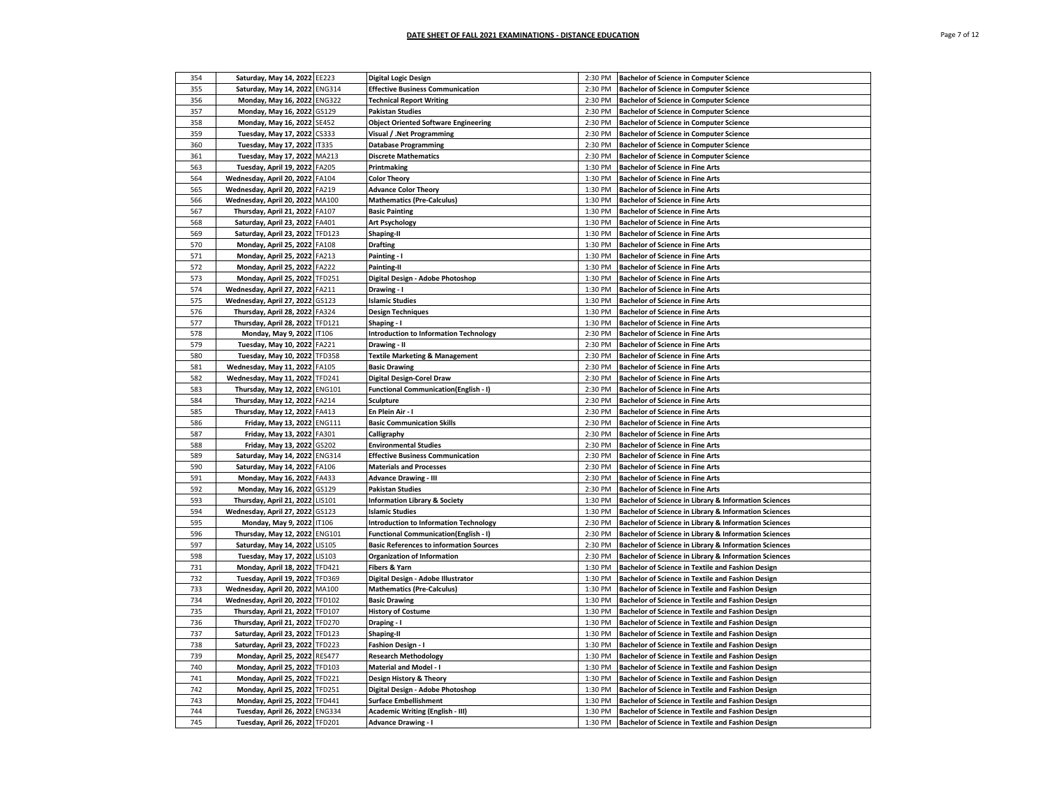| Page 7 of 12 |  |  |  |
|--------------|--|--|--|
|--------------|--|--|--|

| 354        | Saturday, May 14, 2022 EE223                                |                        | <b>Digital Logic Design</b>                                                                   | 2:30 PM            | <b>Bachelor of Science in Computer Science</b>                                                                 |
|------------|-------------------------------------------------------------|------------------------|-----------------------------------------------------------------------------------------------|--------------------|----------------------------------------------------------------------------------------------------------------|
| 355        | Saturday, May 14, 2022 ENG314                               |                        | <b>Effective Business Communication</b>                                                       | 2:30 PM            | <b>Bachelor of Science in Computer Science</b>                                                                 |
| 356        | Monday, May 16, 2022                                        | <b>ENG322</b>          | <b>Technical Report Writing</b>                                                               | 2:30 PM            | <b>Bachelor of Science in Computer Science</b>                                                                 |
| 357        | Monday, May 16, 2022 GS129                                  |                        | <b>Pakistan Studies</b>                                                                       | 2:30 PM            | <b>Bachelor of Science in Computer Science</b>                                                                 |
| 358        | Monday, May 16, 2022                                        | <b>SE452</b>           | <b>Object Oriented Software Engineering</b>                                                   | 2:30 PM            | <b>Bachelor of Science in Computer Science</b>                                                                 |
| 359        | Tuesday, May 17, 2022                                       | CS333                  | Visual / .Net Programming                                                                     | 2:30 PM            | <b>Bachelor of Science in Computer Science</b>                                                                 |
| 360        | Tuesday, May 17, 2022                                       | <b>IT335</b>           | <b>Database Programming</b>                                                                   | 2:30 PM            | <b>Bachelor of Science in Computer Science</b>                                                                 |
| 361        | <b>Tuesday, May 17, 2022</b>                                | MA213                  | <b>Discrete Mathematics</b>                                                                   | 2:30 PM            | <b>Bachelor of Science in Computer Science</b>                                                                 |
| 563        | Tuesday, April 19, 2022                                     | FA205                  | Printmaking                                                                                   | 1:30 PM            | <b>Bachelor of Science in Fine Arts</b>                                                                        |
| 564        | Wednesday, April 20, 2022                                   | FA104                  | <b>Color Theory</b>                                                                           | 1:30 PM            | <b>Bachelor of Science in Fine Arts</b>                                                                        |
| 565        | Wednesday, April 20, 2022                                   | FA219                  | <b>Advance Color Theory</b>                                                                   | 1:30 PM            | <b>Bachelor of Science in Fine Arts</b>                                                                        |
| 566        | Wednesday, April 20, 2022 MA100                             |                        | <b>Mathematics (Pre-Calculus)</b>                                                             | 1:30 PM            | <b>Bachelor of Science in Fine Arts</b>                                                                        |
| 567        | Thursday, April 21, 2022 FA107                              |                        | <b>Basic Painting</b>                                                                         | 1:30 PM            | <b>Bachelor of Science in Fine Arts</b>                                                                        |
| 568        | Saturday, April 23, 2022 FA401                              |                        | <b>Art Psychology</b>                                                                         | 1:30 PM            | <b>Bachelor of Science in Fine Arts</b>                                                                        |
| 569        | Saturday, April 23, 2022 TFD123                             |                        | Shaping-II                                                                                    | 1:30 PM            | <b>Bachelor of Science in Fine Arts</b>                                                                        |
| 570        | Monday, April 25, 2022 FA108                                |                        | <b>Drafting</b>                                                                               | 1:30 PM            | <b>Bachelor of Science in Fine Arts</b>                                                                        |
| 571        | Monday, April 25, 2022 FA213                                |                        | Painting - I                                                                                  | 1:30 PM            | <b>Bachelor of Science in Fine Arts</b>                                                                        |
| 572        | Monday, April 25, 2022                                      | FA222                  | Painting-II                                                                                   | 1:30 PM            | <b>Bachelor of Science in Fine Arts</b>                                                                        |
| 573        | Monday, April 25, 2022 TFD251                               |                        | Digital Design - Adobe Photoshop                                                              | 1:30 PM            | <b>Bachelor of Science in Fine Arts</b>                                                                        |
| 574        |                                                             | FA211                  |                                                                                               |                    |                                                                                                                |
| 575        | Wednesday, April 27, 2022                                   |                        | Drawing - I                                                                                   | 1:30 PM<br>1:30 PM | <b>Bachelor of Science in Fine Arts</b>                                                                        |
| 576        | Wednesday, April 27, 2022 GS123                             | FA324                  | <b>Islamic Studies</b>                                                                        | 1:30 PM            | <b>Bachelor of Science in Fine Arts</b>                                                                        |
|            | Thursday, April 28, 2022                                    |                        | <b>Design Techniques</b>                                                                      | 1:30 PM            | <b>Bachelor of Science in Fine Arts</b>                                                                        |
| 577        | Thursday, April 28, 2022                                    | <b>TFD121</b>          | Shaping - I                                                                                   |                    | <b>Bachelor of Science in Fine Arts</b>                                                                        |
| 578        | Monday, May 9, 2022                                         | IT106                  | <b>Introduction to Information Technology</b>                                                 | 2:30 PM            | <b>Bachelor of Science in Fine Arts</b>                                                                        |
| 579        | Tuesday, May 10, 2022                                       | FA221                  | Drawing - II                                                                                  | 2:30 PM            | <b>Bachelor of Science in Fine Arts</b>                                                                        |
| 580        | Tuesday, May 10, 2022                                       | <b>TFD358</b>          | <b>Textile Marketing &amp; Management</b>                                                     | 2:30 PM            | <b>Bachelor of Science in Fine Arts</b>                                                                        |
| 581        | Wednesday, May 11, 2022                                     | FA105                  | <b>Basic Drawing</b>                                                                          | 2:30 PM            | <b>Bachelor of Science in Fine Arts</b>                                                                        |
| 582        | Wednesday, May 11, 2022                                     | <b>TFD241</b>          | <b>Digital Design-Corel Draw</b>                                                              | 2:30 PM            | <b>Bachelor of Science in Fine Arts</b>                                                                        |
| 583<br>584 | Thursday, May 12, 2022 ENG101                               |                        | <b>Functional Communication(English - I)</b>                                                  | 2:30 PM            | <b>Bachelor of Science in Fine Arts</b>                                                                        |
| 585        | Thursday, May 12, 2022 FA214                                |                        | <b>Sculpture</b><br>En Plein Air - I                                                          | 2:30 PM<br>2:30 PM | <b>Bachelor of Science in Fine Arts</b><br><b>Bachelor of Science in Fine Arts</b>                             |
|            | Thursday, May 12, 2022 FA413                                |                        | <b>Basic Communication Skills</b>                                                             | 2:30 PM            |                                                                                                                |
| 586<br>587 | Friday, May 13, 2022 ENG111                                 |                        |                                                                                               | 2:30 PM            | <b>Bachelor of Science in Fine Arts</b>                                                                        |
|            | Friday, May 13, 2022 FA301                                  |                        | Calligraphy                                                                                   |                    | <b>Bachelor of Science in Fine Arts</b>                                                                        |
| 588<br>589 | Friday, May 13, 2022 GS202                                  |                        | <b>Environmental Studies</b>                                                                  | 2:30 PM<br>2:30 PM | <b>Bachelor of Science in Fine Arts</b>                                                                        |
| 590        | Saturday, May 14, 2022<br>Saturday, May 14, 2022 FA106      | <b>ENG314</b>          | <b>Effective Business Communication</b><br><b>Materials and Processes</b>                     | 2:30 PM            | <b>Bachelor of Science in Fine Arts</b><br><b>Bachelor of Science in Fine Arts</b>                             |
| 591        |                                                             | FA433                  |                                                                                               | 2:30 PM            | <b>Bachelor of Science in Fine Arts</b>                                                                        |
| 592        | Monday, May 16, 2022                                        |                        | <b>Advance Drawing - III</b>                                                                  | 2:30 PM            |                                                                                                                |
|            | Monday, May 16, 2022                                        | GS129                  | <b>Pakistan Studies</b>                                                                       |                    | <b>Bachelor of Science in Fine Arts</b>                                                                        |
| 593<br>594 | Thursday, April 21, 2022                                    | LIS101                 | Information Library & Society                                                                 | 1:30 PM            | Bachelor of Science in Library & Information Sciences                                                          |
| 595        | Wednesday, April 27, 2022<br>Monday, May 9, 2022            | GS123<br>IT106         | <b>Islamic Studies</b>                                                                        | 1:30 PM<br>2:30 PM | Bachelor of Science in Library & Information Sciences                                                          |
| 596        |                                                             | <b>ENG101</b>          | <b>Introduction to Information Technology</b><br><b>Functional Communication(English - I)</b> | 2:30 PM            | Bachelor of Science in Library & Information Sciences<br>Bachelor of Science in Library & Information Sciences |
| 597        | Thursday, May 12, 2022                                      | LIS105                 | <b>Basic References to information Sources</b>                                                | 2:30 PM            |                                                                                                                |
| 598        | Saturday, May 14, 2022                                      | <b>LIS103</b>          |                                                                                               |                    | Bachelor of Science in Library & Information Sciences                                                          |
| 731        | Tuesday, May 17, 2022                                       | <b>TFD421</b>          | <b>Organization of Information</b><br>Fibers & Yarn                                           | 2:30 PM<br>1:30 PM | Bachelor of Science in Library & Information Sciences<br>Bachelor of Science in Textile and Fashion Design     |
| 732        | Monday, April 18, 2022<br>Tuesday, April 19, 2022 TFD369    |                        | Digital Design - Adobe Illustrator                                                            | 1:30 PM            |                                                                                                                |
| 733        |                                                             |                        |                                                                                               |                    | Bachelor of Science in Textile and Fashion Design                                                              |
| 734        | Wednesday, April 20, 2022<br>Wednesday, April 20, 2022      | MA100<br><b>TFD102</b> | <b>Mathematics (Pre-Calculus)</b><br><b>Basic Drawing</b>                                     | 1:30 PM<br>1:30 PM | Bachelor of Science in Textile and Fashion Design<br>Bachelor of Science in Textile and Fashion Design         |
| 735        |                                                             |                        |                                                                                               |                    |                                                                                                                |
| 736        | Thursday, April 21, 2022 TFD107<br>Thursday, April 21, 2022 | <b>TFD270</b>          | <b>History of Costume</b>                                                                     | 1:30 PM<br>1:30 PM | Bachelor of Science in Textile and Fashion Design<br>Bachelor of Science in Textile and Fashion Design         |
| 737        | Saturday, April 23, 2022 TFD123                             |                        | Draping - I<br><b>Shaping-II</b>                                                              | 1:30 PM            | Bachelor of Science in Textile and Fashion Design                                                              |
| 738        |                                                             | <b>TFD223</b>          |                                                                                               | 1:30 PM            | Bachelor of Science in Textile and Fashion Design                                                              |
| 739        | Saturday, April 23, 2022<br>Monday, April 25, 2022 RES477   |                        | Fashion Design - I<br><b>Research Methodology</b>                                             | 1:30 PM            | Bachelor of Science in Textile and Fashion Design                                                              |
| 740        | Monday, April 25, 2022 TFD103                               |                        | <b>Material and Model - I</b>                                                                 | 1:30 PM            | Bachelor of Science in Textile and Fashion Design                                                              |
| 741        |                                                             | <b>TFD221</b>          |                                                                                               | 1:30 PM            |                                                                                                                |
| 742        | Monday, April 25, 2022                                      | <b>TFD251</b>          | Design History & Theory<br>Digital Design - Adobe Photoshop                                   | 1:30 PM            | Bachelor of Science in Textile and Fashion Design<br>Bachelor of Science in Textile and Fashion Design         |
|            | Monday, April 25, 2022                                      |                        |                                                                                               | 1:30 PM            |                                                                                                                |
| 743<br>744 | Monday, April 25, 2022<br>Tuesday, April 26, 2022 ENG334    | <b>TFD441</b>          | <b>Surface Embellishment</b><br>Academic Writing (English - III)                              | 1:30 PM            | Bachelor of Science in Textile and Fashion Design<br>Bachelor of Science in Textile and Fashion Design         |
|            |                                                             |                        |                                                                                               |                    |                                                                                                                |
| 745        | Tuesday, April 26, 2022 TFD201                              |                        | <b>Advance Drawing - I</b>                                                                    | 1:30 PM            | Bachelor of Science in Textile and Fashion Design                                                              |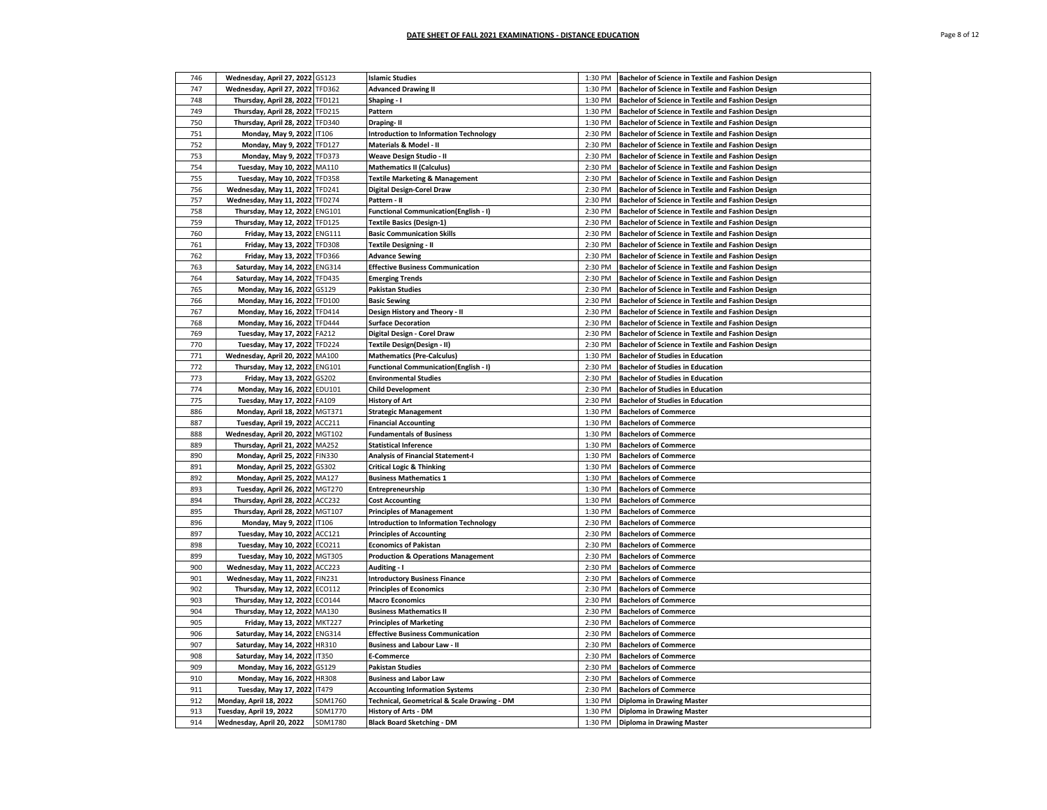| Page 8 of 12 |  |  |  |
|--------------|--|--|--|
|--------------|--|--|--|

| 746 | Wednesday, April 27, 2022 GS123  |               | <b>Islamic Studies</b>                        | 1:30 PM            | Bachelor of Science in Textile and Fashion Design |
|-----|----------------------------------|---------------|-----------------------------------------------|--------------------|---------------------------------------------------|
| 747 | Wednesday, April 27, 2022        | <b>TFD362</b> | <b>Advanced Drawing II</b>                    | 1:30 PM            | Bachelor of Science in Textile and Fashion Design |
| 748 | Thursday, April 28, 2022         | <b>TFD121</b> | Shaping - I                                   | 1:30 PM            | Bachelor of Science in Textile and Fashion Design |
| 749 | Thursday, April 28, 2022 TFD215  |               | Pattern                                       | 1:30 PM            | Bachelor of Science in Textile and Fashion Design |
| 750 | Thursday, April 28, 2022         | <b>TFD340</b> | Draping-II                                    | 1:30 PM            | Bachelor of Science in Textile and Fashion Design |
| 751 | Monday, May 9, 2022              | IT106         | <b>Introduction to Information Technology</b> | 2:30 PM            | Bachelor of Science in Textile and Fashion Design |
| 752 | Monday, May 9, 2022              | TFD127        | Materials & Model - II                        | 2:30 PM            | Bachelor of Science in Textile and Fashion Design |
| 753 | Monday, May 9, 2022              | <b>TFD373</b> | Weave Design Studio - II                      | 2:30 PM            | Bachelor of Science in Textile and Fashion Design |
| 754 | <b>Tuesday, May 10, 2022</b>     | MA110         | <b>Mathematics II (Calculus)</b>              | 2:30 PM            | Bachelor of Science in Textile and Fashion Design |
| 755 | Tuesday, May 10, 2022            | <b>TFD358</b> |                                               | 2:30 PM            | Bachelor of Science in Textile and Fashion Design |
| 756 |                                  |               | <b>Textile Marketing &amp; Management</b>     |                    |                                                   |
|     | Wednesday, May 11, 2022          | TFD241        | Digital Design-Corel Draw                     | 2:30 PM            | Bachelor of Science in Textile and Fashion Design |
| 757 | Wednesday, May 11, 2022          | <b>TFD274</b> | Pattern - II                                  | 2:30 PM            | Bachelor of Science in Textile and Fashion Design |
| 758 | Thursday, May 12, 2022           | <b>ENG101</b> | <b>Functional Communication(English - I)</b>  | 2:30 PM            | Bachelor of Science in Textile and Fashion Design |
| 759 | Thursday, May 12, 2022           | <b>TFD125</b> | <b>Textile Basics (Design-1)</b>              | 2:30 PM            | Bachelor of Science in Textile and Fashion Design |
| 760 | Friday, May 13, 2022 ENG111      |               | <b>Basic Communication Skills</b>             | 2:30 PM            | Bachelor of Science in Textile and Fashion Design |
| 761 | Friday, May 13, 2022 TFD308      |               | <b>Textile Designing - II</b>                 | 2:30 PM            | Bachelor of Science in Textile and Fashion Design |
| 762 | Friday, May 13, 2022             | <b>TFD366</b> | <b>Advance Sewing</b>                         | 2:30 PM            | Bachelor of Science in Textile and Fashion Design |
| 763 | Saturday, May 14, 2022           | <b>ENG314</b> | <b>Effective Business Communication</b>       | 2:30 PM            | Bachelor of Science in Textile and Fashion Design |
| 764 | Saturday, May 14, 2022           | <b>TFD435</b> | <b>Emerging Trends</b>                        | 2:30 PM            | Bachelor of Science in Textile and Fashion Design |
| 765 | Monday, May 16, 2022             | GS129         | <b>Pakistan Studies</b>                       | 2:30 PM            | Bachelor of Science in Textile and Fashion Design |
| 766 | Monday, May 16, 2022             | <b>TFD100</b> | <b>Basic Sewing</b>                           | 2:30 PM            | Bachelor of Science in Textile and Fashion Design |
| 767 | Monday, May 16, 2022             | <b>TFD414</b> | Design History and Theory - II                | 2:30 PM            | Bachelor of Science in Textile and Fashion Design |
| 768 | Monday, May 16, 2022             | <b>TFD444</b> | <b>Surface Decoration</b>                     | 2:30 PM            | Bachelor of Science in Textile and Fashion Design |
| 769 | Tuesday, May 17, 2022            | FA212         | Digital Design - Corel Draw                   | 2:30 PM            | Bachelor of Science in Textile and Fashion Design |
| 770 | Tuesday, May 17, 2022            | <b>TFD224</b> | Textile Design(Design - II)                   | 2:30 PM            | Bachelor of Science in Textile and Fashion Design |
| 771 | Wednesday, April 20, 2022        | MA100         | <b>Mathematics (Pre-Calculus)</b>             | 1:30 PM            | <b>Bachelor of Studies in Education</b>           |
| 772 | Thursday, May 12, 2022           | <b>ENG101</b> | <b>Functional Communication(English - I)</b>  | 2:30 PM            | <b>Bachelor of Studies in Education</b>           |
| 773 | Friday, May 13, 2022             | GS202         | <b>Environmental Studies</b>                  | 2:30 PM            | <b>Bachelor of Studies in Education</b>           |
| 774 | Monday, May 16, 2022             | EDU101        | <b>Child Development</b>                      | 2:30 PM            | <b>Bachelor of Studies in Education</b>           |
| 775 | <b>Tuesday, May 17, 2022</b>     | FA109         | <b>History of Art</b>                         | 2:30 PM            | <b>Bachelor of Studies in Education</b>           |
| 886 | Monday, April 18, 2022 MGT371    |               | <b>Strategic Management</b>                   | 1:30 PM            | <b>Bachelors of Commerce</b>                      |
| 887 | Tuesday, April 19, 2022          | ACC211        | <b>Financial Accounting</b>                   | 1:30 PM            | <b>Bachelors of Commerce</b>                      |
| 888 | Wednesday, April 20, 2022 MGT102 |               | <b>Fundamentals of Business</b>               | 1:30 PM            | <b>Bachelors of Commerce</b>                      |
| 889 | Thursday, April 21, 2022 MA252   |               | <b>Statistical Inference</b>                  | 1:30 PM            | <b>Bachelors of Commerce</b>                      |
| 890 | Monday, April 25, 2022 FIN330    |               | <b>Analysis of Financial Statement-I</b>      | 1:30 PM            | <b>Bachelors of Commerce</b>                      |
| 891 | Monday, April 25, 2022           | GS302         | <b>Critical Logic &amp; Thinking</b>          | 1:30 PM            | <b>Bachelors of Commerce</b>                      |
| 892 | Monday, April 25, 2022           | MA127         | <b>Business Mathematics 1</b>                 | 1:30 PM            | <b>Bachelors of Commerce</b>                      |
| 893 | Tuesday, April 26, 2022          | <b>MGT270</b> | Entrepreneurship                              | 1:30 PM            | <b>Bachelors of Commerce</b>                      |
| 894 | Thursday, April 28, 2022         | ACC232        | <b>Cost Accounting</b>                        | 1:30 PM            | <b>Bachelors of Commerce</b>                      |
| 895 | Thursday, April 28, 2022 MGT107  |               | <b>Principles of Management</b>               | 1:30 PM            | <b>Bachelors of Commerce</b>                      |
| 896 | Monday, May 9, 2022              | IT106         | <b>Introduction to Information Technology</b> | 2:30 PM            | <b>Bachelors of Commerce</b>                      |
| 897 |                                  |               |                                               |                    |                                                   |
| 898 | Tuesday, May 10, 2022 ACC121     |               | <b>Principles of Accounting</b>               | 2:30 PM<br>2:30 PM | <b>Bachelors of Commerce</b>                      |
|     | Tuesday, May 10, 2022 ECO211     |               | <b>Economics of Pakistan</b>                  |                    | <b>Bachelors of Commerce</b>                      |
| 899 | <b>Tuesday, May 10, 2022</b>     | <b>MGT305</b> | <b>Production &amp; Operations Management</b> | 2:30 PM            | <b>Bachelors of Commerce</b>                      |
| 900 | Wednesday, May 11, 2022          | <b>ACC223</b> | Auditing - I                                  | 2:30 PM            | <b>Bachelors of Commerce</b>                      |
| 901 | Wednesday, May 11, 2022          | <b>FIN231</b> | <b>Introductory Business Finance</b>          | 2:30 PM            | <b>Bachelors of Commerce</b>                      |
| 902 | Thursday, May 12, 2022           | ECO112        | <b>Principles of Economics</b>                | 2:30 PM            | <b>Bachelors of Commerce</b>                      |
| 903 | Thursday, May 12, 2022           | ECO144        | <b>Macro Economics</b>                        | 2:30 PM            | <b>Bachelors of Commerce</b>                      |
| 904 | Thursday, May 12, 2022           | MA130         | <b>Business Mathematics II</b>                | 2:30 PM            | <b>Bachelors of Commerce</b>                      |
| 905 | Friday, May 13, 2022 MKT227      |               | <b>Principles of Marketing</b>                | 2:30 PM            | <b>Bachelors of Commerce</b>                      |
| 906 | Saturday, May 14, 2022           | <b>ENG314</b> | <b>Effective Business Communication</b>       | 2:30 PM            | <b>Bachelors of Commerce</b>                      |
| 907 | Saturday, May 14, 2022           | HR310         | <b>Business and Labour Law - II</b>           | 2:30 PM            | <b>Bachelors of Commerce</b>                      |
| 908 | Saturday, May 14, 2022           | <b>IT350</b>  | <b>E-Commerce</b>                             | 2:30 PM            | <b>Bachelors of Commerce</b>                      |
| 909 | Monday, May 16, 2022             | GS129         | <b>Pakistan Studies</b>                       | 2:30 PM            | <b>Bachelors of Commerce</b>                      |
| 910 | Monday, May 16, 2022             | <b>HR308</b>  | <b>Business and Labor Law</b>                 | 2:30 PM            | <b>Bachelors of Commerce</b>                      |
| 911 | Tuesday, May 17, 2022            | IT479         | <b>Accounting Information Systems</b>         | 2:30 PM            | <b>Bachelors of Commerce</b>                      |
| 912 | Monday, April 18, 2022           | SDM1760       | Technical, Geometrical & Scale Drawing - DM   | 1:30 PM            | <b>Diploma in Drawing Master</b>                  |
| 913 | Tuesday, April 19, 2022          | SDM1770       | History of Arts - DM                          | 1:30 PM            | <b>Diploma in Drawing Master</b>                  |
| 914 | Wednesday, April 20, 2022        | SDM1780       | <b>Black Board Sketching - DM</b>             |                    | 1:30 PM Diploma in Drawing Master                 |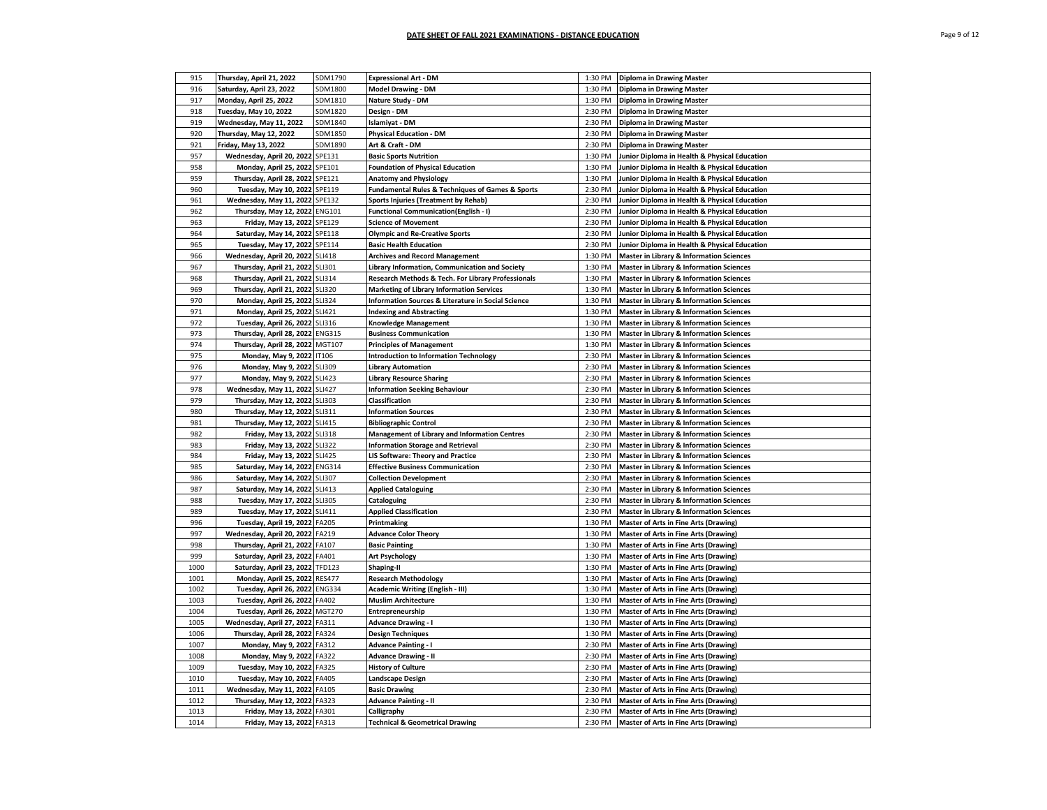| 915  | Thursday, April 21, 2022         | SDM1790       | <b>Expressional Art - DM</b>                                    | 1:30 PM | <b>Diploma in Drawing Master</b>                    |
|------|----------------------------------|---------------|-----------------------------------------------------------------|---------|-----------------------------------------------------|
| 916  | Saturday, April 23, 2022         | SDM1800       | <b>Model Drawing - DM</b>                                       | 1:30 PM | <b>Diploma in Drawing Master</b>                    |
| 917  | Monday, April 25, 2022           | SDM1810       | Nature Study - DM                                               | 1:30 PM | <b>Diploma in Drawing Master</b>                    |
| 918  | Tuesday, May 10, 2022            | SDM1820       | Design - DM                                                     | 2:30 PM | <b>Diploma in Drawing Master</b>                    |
| 919  | Wednesday, May 11, 2022          | SDM1840       | Islamiyat - DM                                                  | 2:30 PM | <b>Diploma in Drawing Master</b>                    |
| 920  | Thursday, May 12, 2022           | SDM1850       | <b>Physical Education - DM</b>                                  | 2:30 PM | <b>Diploma in Drawing Master</b>                    |
| 921  | Friday, May 13, 2022             | SDM1890       | Art & Craft - DM                                                | 2:30 PM | <b>Diploma in Drawing Master</b>                    |
| 957  | Wednesday, April 20, 2022 SPE131 |               | <b>Basic Sports Nutrition</b>                                   | 1:30 PM | Junior Diploma in Health & Physical Education       |
| 958  | Monday, April 25, 2022 SPE101    |               | <b>Foundation of Physical Education</b>                         | 1:30 PM | Junior Diploma in Health & Physical Education       |
| 959  | Thursday, April 28, 2022         | SPE121        | <b>Anatomy and Physiology</b>                                   | 1:30 PM | Junior Diploma in Health & Physical Education       |
| 960  | Tuesday, May 10, 2022 SPE119     |               | <b>Fundamental Rules &amp; Techniques of Games &amp; Sports</b> | 2:30 PM | Junior Diploma in Health & Physical Education       |
| 961  | Wednesday, May 11, 2022          | SPE132        | Sports Injuries (Treatment by Rehab)                            | 2:30 PM | Junior Diploma in Health & Physical Education       |
| 962  | Thursday, May 12, 2022           | <b>ENG101</b> | Functional Communication(English - I)                           | 2:30 PM | Junior Diploma in Health & Physical Education       |
| 963  | Friday, May 13, 2022             | SPE129        | <b>Science of Movement</b>                                      | 2:30 PM | Junior Diploma in Health & Physical Education       |
| 964  | Saturday, May 14, 2022 SPE118    |               | <b>Olympic and Re-Creative Sports</b>                           | 2:30 PM | Junior Diploma in Health & Physical Education       |
| 965  | Tuesday, May 17, 2022 SPE114     |               | <b>Basic Health Education</b>                                   | 2:30 PM | Junior Diploma in Health & Physical Education       |
| 966  | Wednesday, April 20, 2022 SLI418 |               | <b>Archives and Record Management</b>                           | 1:30 PM | <b>Master in Library &amp; Information Sciences</b> |
| 967  | Thursday, April 21, 2022         | <b>SLI301</b> | Library Information, Communication and Society                  | 1:30 PM | <b>Master in Library &amp; Information Sciences</b> |
| 968  | Thursday, April 21, 2022 SLI314  |               | Research Methods & Tech. For Library Professionals              | 1:30 PM | <b>Master in Library &amp; Information Sciences</b> |
| 969  | Thursday, April 21, 2022 SLI320  |               | <b>Marketing of Library Information Services</b>                | 1:30 PM | Master in Library & Information Sciences            |
| 970  | Monday, April 25, 2022 SLI324    |               | <b>Information Sources &amp; Literature in Social Science</b>   | 1:30 PM | <b>Master in Library &amp; Information Sciences</b> |
| 971  | Monday, April 25, 2022           | <b>SLI421</b> | <b>Indexing and Abstracting</b>                                 | 1:30 PM | <b>Master in Library &amp; Information Sciences</b> |
| 972  | Tuesday, April 26, 2022 SLI316   |               | <b>Knowledge Management</b>                                     | 1:30 PM | <b>Master in Library &amp; Information Sciences</b> |
| 973  | Thursday, April 28, 2022 ENG315  |               | <b>Business Communication</b>                                   | 1:30 PM | <b>Master in Library &amp; Information Sciences</b> |
| 974  | Thursday, April 28, 2022 MGT107  |               | <b>Principles of Management</b>                                 | 1:30 PM | <b>Master in Library &amp; Information Sciences</b> |
| 975  | Monday, May 9, 2022 IT106        |               | <b>Introduction to Information Technology</b>                   | 2:30 PM | <b>Master in Library &amp; Information Sciences</b> |
| 976  | Monday, May 9, 2022 SLI309       |               | <b>Library Automation</b>                                       | 2:30 PM | <b>Master in Library &amp; Information Sciences</b> |
| 977  | Monday, May 9, 2022 SLI423       |               | <b>Library Resource Sharing</b>                                 | 2:30 PM | <b>Master in Library &amp; Information Sciences</b> |
| 978  | Wednesday, May 11, 2022          | <b>SLI427</b> | <b>Information Seeking Behaviour</b>                            | 2:30 PM | <b>Master in Library &amp; Information Sciences</b> |
| 979  | Thursday, May 12, 2022 SLI303    |               | <b>Classification</b>                                           | 2:30 PM | <b>Master in Library &amp; Information Sciences</b> |
| 980  | Thursday, May 12, 2022 SLI311    |               | <b>Information Sources</b>                                      | 2:30 PM | <b>Master in Library &amp; Information Sciences</b> |
| 981  | Thursday, May 12, 2022 SLI415    |               | <b>Bibliographic Control</b>                                    | 2:30 PM | <b>Master in Library &amp; Information Sciences</b> |
| 982  | Friday, May 13, 2022 SLI318      |               | Management of Library and Information Centres                   | 2:30 PM | <b>Master in Library &amp; Information Sciences</b> |
| 983  | Friday, May 13, 2022 SLI322      |               | <b>Information Storage and Retrieval</b>                        | 2:30 PM | <b>Master in Library &amp; Information Sciences</b> |
| 984  | Friday, May 13, 2022             | <b>SLI425</b> | <b>LIS Software: Theory and Practice</b>                        | 2:30 PM | <b>Master in Library &amp; Information Sciences</b> |
| 985  | Saturday, May 14, 2022 ENG314    |               | <b>Effective Business Communication</b>                         | 2:30 PM | <b>Master in Library &amp; Information Sciences</b> |
| 986  | Saturday, May 14, 2022 SLI307    |               | <b>Collection Development</b>                                   | 2:30 PM | <b>Master in Library &amp; Information Sciences</b> |
| 987  | Saturday, May 14, 2022 SLI413    |               | <b>Applied Cataloguing</b>                                      | 2:30 PM | <b>Master in Library &amp; Information Sciences</b> |
| 988  | Tuesday, May 17, 2022 SLI305     |               | Cataloguing                                                     | 2:30 PM | <b>Master in Library &amp; Information Sciences</b> |
| 989  | Tuesday, May 17, 2022 SLI411     |               | <b>Applied Classification</b>                                   | 2:30 PM | <b>Master in Library &amp; Information Sciences</b> |
| 996  | Tuesday, April 19, 2022 FA205    |               | Printmaking                                                     | 1:30 PM | Master of Arts in Fine Arts (Drawing)               |
| 997  | Wednesday, April 20, 2022 FA219  |               | <b>Advance Color Theory</b>                                     | 1:30 PM | Master of Arts in Fine Arts (Drawing)               |
| 998  | Thursday, April 21, 2022 FA107   |               | <b>Basic Painting</b>                                           | 1:30 PM | Master of Arts in Fine Arts (Drawing)               |
| 999  | Saturday, April 23, 2022 FA401   |               | <b>Art Psychology</b>                                           | 1:30 PM | Master of Arts in Fine Arts (Drawing)               |
| 1000 | Saturday, April 23, 2022 TFD123  |               | Shaping-II                                                      | 1:30 PM | Master of Arts in Fine Arts (Drawing)               |
| 1001 | Monday, April 25, 2022 RES477    |               | <b>Research Methodology</b>                                     | 1:30 PM | <b>Master of Arts in Fine Arts (Drawing)</b>        |
| 1002 | Tuesday, April 26, 2022 ENG334   |               | Academic Writing (English - III)                                | 1:30 PM | Master of Arts in Fine Arts (Drawing)               |
| 1003 | Tuesday, April 26, 2022 FA402    |               | <b>Muslim Architecture</b>                                      | 1:30 PM | <b>Master of Arts in Fine Arts (Drawing)</b>        |
| 1004 | Tuesday, April 26, 2022 MGT270   |               | Entrepreneurship                                                | 1:30 PM | Master of Arts in Fine Arts (Drawing)               |
| 1005 | Wednesday, April 27, 2022 FA311  |               | <b>Advance Drawing - I</b>                                      | 1:30 PM | Master of Arts in Fine Arts (Drawing)               |
| 1006 | Thursday, April 28, 2022 FA324   |               | <b>Design Techniques</b>                                        | 1:30 PM | Master of Arts in Fine Arts (Drawing)               |
| 1007 | Monday, May 9, 2022 FA312        |               | <b>Advance Painting - I</b>                                     | 2:30 PM | Master of Arts in Fine Arts (Drawing)               |
| 1008 | Monday, May 9, 2022 FA322        |               | <b>Advance Drawing - II</b>                                     | 2:30 PM | Master of Arts in Fine Arts (Drawing)               |
| 1009 | Tuesday, May 10, 2022 FA325      |               | <b>History of Culture</b>                                       | 2:30 PM | Master of Arts in Fine Arts (Drawing)               |
| 1010 | Tuesday, May 10, 2022 FA405      |               | <b>Landscape Design</b>                                         | 2:30 PM | Master of Arts in Fine Arts (Drawing)               |
| 1011 | Wednesday, May 11, 2022 FA105    |               | <b>Basic Drawing</b>                                            | 2:30 PM | Master of Arts in Fine Arts (Drawing)               |
| 1012 | Thursday, May 12, 2022 FA323     |               | <b>Advance Painting - II</b>                                    | 2:30 PM | Master of Arts in Fine Arts (Drawing)               |
| 1013 | Friday, May 13, 2022 FA301       |               | Calligraphy                                                     | 2:30 PM | Master of Arts in Fine Arts (Drawing)               |
| 1014 | Friday, May 13, 2022 FA313       |               | <b>Technical &amp; Geometrical Drawing</b>                      | 2:30 PM | Master of Arts in Fine Arts (Drawing)               |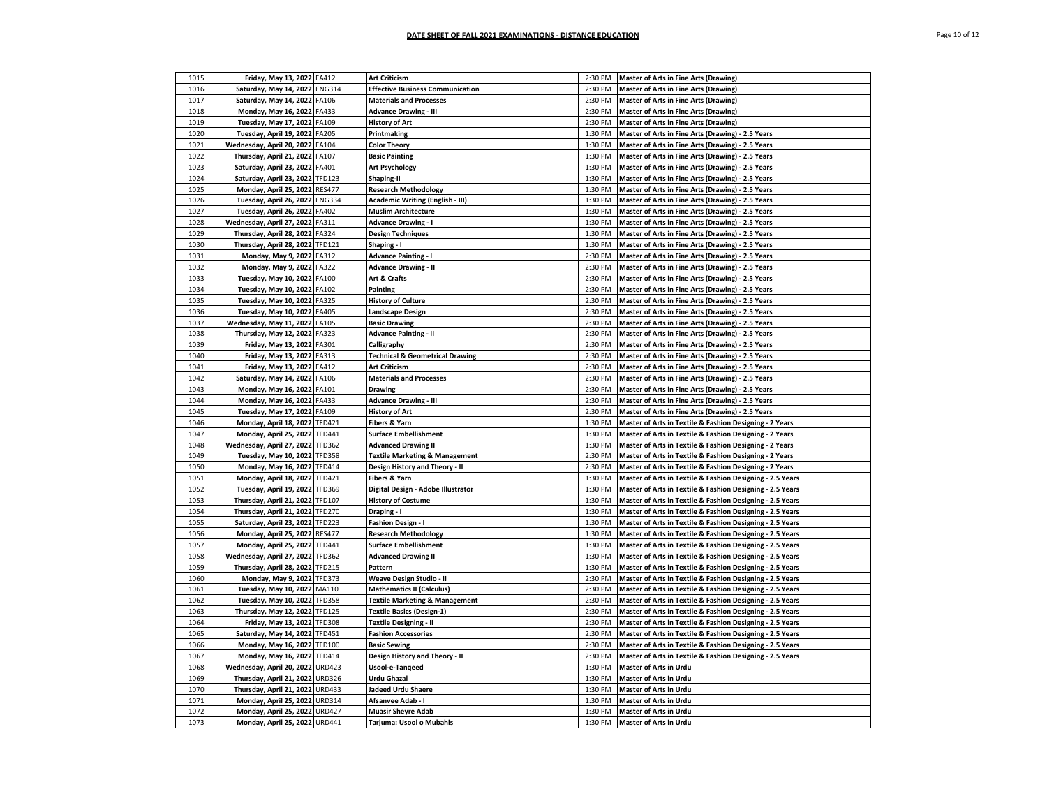| 1015 | Friday, May 13, 2022 FA412       |               | <b>Art Criticism</b>                       | 2:30 PM | Master of Arts in Fine Arts (Drawing)                     |
|------|----------------------------------|---------------|--------------------------------------------|---------|-----------------------------------------------------------|
| 1016 | Saturday, May 14, 2022 ENG314    |               | <b>Effective Business Communication</b>    | 2:30 PM | <b>Master of Arts in Fine Arts (Drawing)</b>              |
| 1017 | Saturday, May 14, 2022 FA106     |               | <b>Materials and Processes</b>             | 2:30 PM | Master of Arts in Fine Arts (Drawing)                     |
| 1018 | Monday, May 16, 2022 FA433       |               | <b>Advance Drawing - III</b>               | 2:30 PM | <b>Master of Arts in Fine Arts (Drawing)</b>              |
| 1019 | Tuesday, May 17, 2022 FA109      |               | <b>History of Art</b>                      | 2:30 PM | <b>Master of Arts in Fine Arts (Drawing)</b>              |
| 1020 | Tuesday, April 19, 2022 FA205    |               | Printmaking                                | 1:30 PM | Master of Arts in Fine Arts (Drawing) - 2.5 Years         |
| 1021 | Wednesday, April 20, 2022        | FA104         | <b>Color Theory</b>                        | 1:30 PM | Master of Arts in Fine Arts (Drawing) - 2.5 Years         |
| 1022 | Thursday, April 21, 2022 FA107   |               | <b>Basic Painting</b>                      | 1:30 PM | Master of Arts in Fine Arts (Drawing) - 2.5 Years         |
| 1023 | Saturday, April 23, 2022         | FA401         | <b>Art Psychology</b>                      | 1:30 PM | Master of Arts in Fine Arts (Drawing) - 2.5 Years         |
| 1024 | Saturday, April 23, 2022         | <b>TFD123</b> | Shaping-II                                 | 1:30 PM | Master of Arts in Fine Arts (Drawing) - 2.5 Years         |
| 1025 | Monday, April 25, 2022 RES477    |               | <b>Research Methodology</b>                | 1:30 PM | Master of Arts in Fine Arts (Drawing) - 2.5 Years         |
| 1026 | Tuesday, April 26, 2022 ENG334   |               | Academic Writing (English - III)           | 1:30 PM | Master of Arts in Fine Arts (Drawing) - 2.5 Years         |
| 1027 | Tuesday, April 26, 2022          | FA402         | <b>Muslim Architecture</b>                 | 1:30 PM | Master of Arts in Fine Arts (Drawing) - 2.5 Years         |
| 1028 | Wednesday, April 27, 2022 FA311  |               | <b>Advance Drawing - I</b>                 | 1:30 PM | Master of Arts in Fine Arts (Drawing) - 2.5 Years         |
| 1029 | Thursday, April 28, 2022 FA324   |               | <b>Design Techniques</b>                   | 1:30 PM | Master of Arts in Fine Arts (Drawing) - 2.5 Years         |
| 1030 | Thursday, April 28, 2022 TFD121  |               | Shaping - I                                | 1:30 PM | Master of Arts in Fine Arts (Drawing) - 2.5 Years         |
|      |                                  |               |                                            | 2:30 PM |                                                           |
| 1031 | Monday, May 9, 2022 FA312        |               | <b>Advance Painting - I</b>                |         | Master of Arts in Fine Arts (Drawing) - 2.5 Years         |
| 1032 | Monday, May 9, 2022              | FA322         | <b>Advance Drawing - II</b>                | 2:30 PM | Master of Arts in Fine Arts (Drawing) - 2.5 Years         |
| 1033 | Tuesday, May 10, 2022 FA100      |               | Art & Crafts                               | 2:30 PM | Master of Arts in Fine Arts (Drawing) - 2.5 Years         |
| 1034 | Tuesday, May 10, 2022 FA102      |               | Painting                                   | 2:30 PM | Master of Arts in Fine Arts (Drawing) - 2.5 Years         |
| 1035 | Tuesday, May 10, 2022 FA325      |               | <b>History of Culture</b>                  | 2:30 PM | Master of Arts in Fine Arts (Drawing) - 2.5 Years         |
| 1036 | Tuesday, May 10, 2022 FA405      |               | Landscape Design                           | 2:30 PM | Master of Arts in Fine Arts (Drawing) - 2.5 Years         |
| 1037 | Wednesday, May 11, 2022 FA105    |               | <b>Basic Drawing</b>                       | 2:30 PM | Master of Arts in Fine Arts (Drawing) - 2.5 Years         |
| 1038 | Thursday, May 12, 2022           | FA323         | <b>Advance Painting - II</b>               | 2:30 PM | Master of Arts in Fine Arts (Drawing) - 2.5 Years         |
| 1039 | Friday, May 13, 2022 FA301       |               | Calligraphy                                | 2:30 PM | Master of Arts in Fine Arts (Drawing) - 2.5 Years         |
| 1040 | Friday, May 13, 2022             | FA313         | <b>Technical &amp; Geometrical Drawing</b> | 2:30 PM | Master of Arts in Fine Arts (Drawing) - 2.5 Years         |
| 1041 | Friday, May 13, 2022 FA412       |               | <b>Art Criticism</b>                       | 2:30 PM | Master of Arts in Fine Arts (Drawing) - 2.5 Years         |
| 1042 | Saturday, May 14, 2022           | FA106         | <b>Materials and Processes</b>             | 2:30 PM | Master of Arts in Fine Arts (Drawing) - 2.5 Years         |
| 1043 | Monday, May 16, 2022 FA101       |               | <b>Drawing</b>                             | 2:30 PM | Master of Arts in Fine Arts (Drawing) - 2.5 Years         |
| 1044 | Monday, May 16, 2022 FA433       |               | <b>Advance Drawing - III</b>               | 2:30 PM | Master of Arts in Fine Arts (Drawing) - 2.5 Years         |
| 1045 | Tuesday, May 17, 2022 FA109      |               | <b>History of Art</b>                      | 2:30 PM | Master of Arts in Fine Arts (Drawing) - 2.5 Years         |
| 1046 | Monday, April 18, 2022 TFD421    |               | Fibers & Yarn                              | 1:30 PM | Master of Arts in Textile & Fashion Designing - 2 Years   |
| 1047 | Monday, April 25, 2022           | <b>TFD441</b> | <b>Surface Embellishment</b>               | 1:30 PM | Master of Arts in Textile & Fashion Designing - 2 Years   |
| 1048 | Wednesday, April 27, 2022 TFD362 |               | <b>Advanced Drawing II</b>                 | 1:30 PM | Master of Arts in Textile & Fashion Designing - 2 Years   |
| 1049 | Tuesday, May 10, 2022 TFD358     |               | <b>Textile Marketing &amp; Management</b>  | 2:30 PM | Master of Arts in Textile & Fashion Designing - 2 Years   |
| 1050 | Monday, May 16, 2022 TFD414      |               | Design History and Theory - II             | 2:30 PM | Master of Arts in Textile & Fashion Designing - 2 Years   |
| 1051 | Monday, April 18, 2022           | <b>TFD421</b> | Fibers & Yarn                              | 1:30 PM | Master of Arts in Textile & Fashion Designing - 2.5 Years |
| 1052 | Tuesday, April 19, 2022 TFD369   |               | Digital Design - Adobe Illustrator         | 1:30 PM | Master of Arts in Textile & Fashion Designing - 2.5 Years |
| 1053 | Thursday, April 21, 2022 TFD107  |               | <b>History of Costume</b>                  | 1:30 PM | Master of Arts in Textile & Fashion Designing - 2.5 Years |
| 1054 | Thursday, April 21, 2022 TFD270  |               | Draping - I                                | 1:30 PM | Master of Arts in Textile & Fashion Designing - 2.5 Years |
| 1055 | Saturday, April 23, 2022         | <b>TFD223</b> | <b>Fashion Design - I</b>                  | 1:30 PM | Master of Arts in Textile & Fashion Designing - 2.5 Years |
| 1056 | Monday, April 25, 2022 RES477    |               | <b>Research Methodology</b>                | 1:30 PM | Master of Arts in Textile & Fashion Designing - 2.5 Years |
| 1057 | Monday, April 25, 2022           | <b>TFD441</b> | <b>Surface Embellishment</b>               | 1:30 PM | Master of Arts in Textile & Fashion Designing - 2.5 Years |
| 1058 | Wednesday, April 27, 2022        | <b>TFD362</b> | <b>Advanced Drawing II</b>                 | 1:30 PM | Master of Arts in Textile & Fashion Designing - 2.5 Years |
| 1059 | Thursday, April 28, 2022         | <b>TFD215</b> | Pattern                                    | 1:30 PM | Master of Arts in Textile & Fashion Designing - 2.5 Years |
| 1060 | Monday, May 9, 2022              | <b>TFD373</b> | Weave Design Studio - II                   | 2:30 PM | Master of Arts in Textile & Fashion Designing - 2.5 Years |
| 1061 | Tuesday, May 10, 2022            | MA110         | <b>Mathematics II (Calculus)</b>           | 2:30 PM | Master of Arts in Textile & Fashion Designing - 2.5 Years |
| 1062 | Tuesday, May 10, 2022            | <b>TFD358</b> | <b>Textile Marketing &amp; Management</b>  | 2:30 PM | Master of Arts in Textile & Fashion Designing - 2.5 Years |
| 1063 | Thursday, May 12, 2022 TFD125    |               | <b>Textile Basics (Design-1)</b>           | 2:30 PM | Master of Arts in Textile & Fashion Designing - 2.5 Years |
| 1064 | Friday, May 13, 2022 TFD308      |               | <b>Textile Designing - II</b>              | 2:30 PM | Master of Arts in Textile & Fashion Designing - 2.5 Years |
| 1065 | Saturday, May 14, 2022 TFD451    |               | <b>Fashion Accessories</b>                 | 2:30 PM | Master of Arts in Textile & Fashion Designing - 2.5 Years |
| 1066 | Monday, May 16, 2022             | <b>TFD100</b> | <b>Basic Sewing</b>                        | 2:30 PM | Master of Arts in Textile & Fashion Designing - 2.5 Years |
| 1067 | Monday, May 16, 2022 TFD414      |               | Design History and Theory - II             | 2:30 PM | Master of Arts in Textile & Fashion Designing - 2.5 Years |
| 1068 | Wednesday, April 20, 2022        | <b>URD423</b> | Usool-e-Tangeed                            | 1:30 PM | Master of Arts in Urdu                                    |
| 1069 | Thursday, April 21, 2022 URD326  |               | Urdu Ghazal                                | 1:30 PM | <b>Master of Arts in Urdu</b>                             |
| 1070 | Thursday, April 21, 2022         | <b>URD433</b> | <b>Jadeed Urdu Shaere</b>                  | 1:30 PM | Master of Arts in Urdu                                    |
| 1071 | Monday, April 25, 2022 URD314    |               | Afsanvee Adab - I                          | 1:30 PM | <b>Master of Arts in Urdu</b>                             |
| 1072 | Monday, April 25, 2022 URD427    |               | <b>Muasir Sheyre Adab</b>                  | 1:30 PM | <b>Master of Arts in Urdu</b>                             |
| 1073 | Monday, April 25, 2022 URD441    |               | Tarjuma: Usool o Mubahis                   | 1:30 PM | <b>Master of Arts in Urdu</b>                             |
|      |                                  |               |                                            |         |                                                           |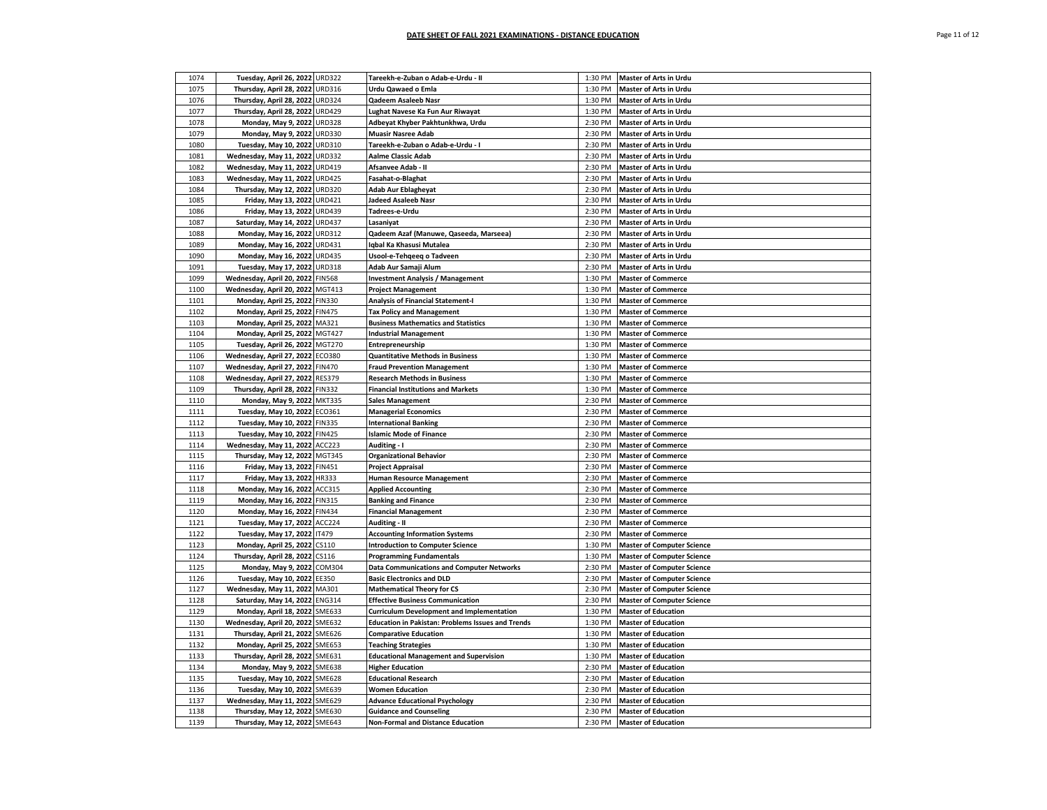| 1074 | Tuesday, April 26, 2022 URD322   |               | Tareekh-e-Zuban o Adab-e-Urdu - II                          | 1:30 PM | <b>Master of Arts in Urdu</b>     |
|------|----------------------------------|---------------|-------------------------------------------------------------|---------|-----------------------------------|
| 1075 | Thursday, April 28, 2022 URD316  |               | Urdu Qawaed o Emla                                          | 1:30 PM | <b>Master of Arts in Urdu</b>     |
| 1076 | Thursday, April 28, 2022 URD324  |               | Qadeem Asaleeb Nasr                                         | 1:30 PM | <b>Master of Arts in Urdu</b>     |
| 1077 | Thursday, April 28, 2022 URD429  |               | Lughat Navese Ka Fun Aur Riwayat                            | 1:30 PM | <b>Master of Arts in Urdu</b>     |
| 1078 | Monday, May 9, 2022 URD328       |               | Adbeyat Khyber Pakhtunkhwa, Urdu                            | 2:30 PM | <b>Master of Arts in Urdu</b>     |
| 1079 | Monday, May 9, 2022 URD330       |               | <b>Muasir Nasree Adab</b>                                   | 2:30 PM | Master of Arts in Urdu            |
|      |                                  |               |                                                             |         |                                   |
| 1080 | Tuesday, May 10, 2022 URD310     |               | Tareekh-e-Zuban o Adab-e-Urdu - I                           | 2:30 PM | Master of Arts in Urdu            |
| 1081 | Wednesday, May 11, 2022 URD332   |               | <b>Aalme Classic Adab</b>                                   | 2:30 PM | Master of Arts in Urdu            |
| 1082 | Wednesday, May 11, 2022 URD419   |               | Afsanvee Adab - II                                          | 2:30 PM | <b>Master of Arts in Urdu</b>     |
| 1083 | Wednesday, May 11, 2022          | <b>URD425</b> | Fasahat-o-Blaghat                                           | 2:30 PM | Master of Arts in Urdu            |
| 1084 | Thursday, May 12, 2022 URD320    |               | Adab Aur Eblagheyat                                         | 2:30 PM | Master of Arts in Urdu            |
| 1085 | Friday, May 13, 2022 URD421      |               | Jadeed Asaleeb Nasr                                         | 2:30 PM | Master of Arts in Urdu            |
| 1086 | Friday, May 13, 2022 URD439      |               | Tadrees-e-Urdu                                              | 2:30 PM | Master of Arts in Urdu            |
| 1087 | Saturday, May 14, 2022 URD437    |               | Lasaniyat                                                   | 2:30 PM | Master of Arts in Urdu            |
| 1088 | Monday, May 16, 2022 URD312      |               | Qadeem Azaf (Manuwe, Qaseeda, Marseea)                      | 2:30 PM | <b>Master of Arts in Urdu</b>     |
| 1089 | Monday, May 16, 2022 URD431      |               | Igbal Ka Khasusi Mutalea                                    | 2:30 PM | Master of Arts in Urdu            |
| 1090 | Monday, May 16, 2022 URD435      |               | Usool-e-Tehgeeg o Tadveen                                   | 2:30 PM | <b>Master of Arts in Urdu</b>     |
| 1091 | Tuesday, May 17, 2022 URD318     |               | Adab Aur Samaji Alum                                        | 2:30 PM | Master of Arts in Urdu            |
| 1099 | Wednesday, April 20, 2022 FIN568 |               | <b>Investment Analysis / Management</b>                     | 1:30 PM | <b>Master of Commerce</b>         |
| 1100 | Wednesday, April 20, 2022 MGT413 |               | <b>Project Management</b>                                   | 1:30 PM | <b>Master of Commerce</b>         |
| 1101 | Monday, April 25, 2022 FIN330    |               | <b>Analysis of Financial Statement-I</b>                    | 1:30 PM | <b>Master of Commerce</b>         |
| 1102 | Monday, April 25, 2022 FIN475    |               | <b>Tax Policy and Management</b>                            | 1:30 PM | <b>Master of Commerce</b>         |
| 1103 | Monday, April 25, 2022 MA321     |               | <b>Business Mathematics and Statistics</b>                  | 1:30 PM | <b>Master of Commerce</b>         |
| 1104 | Monday, April 25, 2022 MGT427    |               | <b>Industrial Management</b>                                | 1:30 PM | <b>Master of Commerce</b>         |
| 1105 | Tuesday, April 26, 2022 MGT270   |               |                                                             | 1:30 PM | <b>Master of Commerce</b>         |
| 1106 | Wednesday, April 27, 2022 ECO380 |               | Entrepreneurship<br><b>Quantitative Methods in Business</b> | 1:30 PM | <b>Master of Commerce</b>         |
|      |                                  |               |                                                             |         |                                   |
| 1107 | Wednesday, April 27, 2022 FIN470 |               | <b>Fraud Prevention Management</b>                          | 1:30 PM | <b>Master of Commerce</b>         |
| 1108 | Wednesday, April 27, 2022 RES379 |               | <b>Research Methods in Business</b>                         | 1:30 PM | <b>Master of Commerce</b>         |
| 1109 | Thursday, April 28, 2022 FIN332  |               | <b>Financial Institutions and Markets</b>                   | 1:30 PM | <b>Master of Commerce</b>         |
| 1110 | Monday, May 9, 2022 MKT335       |               | <b>Sales Management</b>                                     | 2:30 PM | <b>Master of Commerce</b>         |
| 1111 | Tuesday, May 10, 2022 ECO361     |               | <b>Managerial Economics</b>                                 | 2:30 PM | <b>Master of Commerce</b>         |
| 1112 | Tuesday, May 10, 2022 FIN335     |               | <b>International Banking</b>                                | 2:30 PM | <b>Master of Commerce</b>         |
| 1113 | Tuesday, May 10, 2022 FIN425     |               | <b>Islamic Mode of Finance</b>                              | 2:30 PM | <b>Master of Commerce</b>         |
| 1114 | Wednesday, May 11, 2022 ACC223   |               | Auditing - I                                                | 2:30 PM | <b>Master of Commerce</b>         |
| 1115 | Thursday, May 12, 2022 MGT345    |               | <b>Organizational Behavior</b>                              | 2:30 PM | <b>Master of Commerce</b>         |
| 1116 | Friday, May 13, 2022 FIN451      |               | <b>Project Appraisal</b>                                    | 2:30 PM | <b>Master of Commerce</b>         |
| 1117 | Friday, May 13, 2022 HR333       |               | <b>Human Resource Management</b>                            | 2:30 PM | <b>Master of Commerce</b>         |
| 1118 | Monday, May 16, 2022 ACC315      |               | <b>Applied Accounting</b>                                   | 2:30 PM | <b>Master of Commerce</b>         |
| 1119 | Monday, May 16, 2022 FIN315      |               | <b>Banking and Finance</b>                                  | 2:30 PM | <b>Master of Commerce</b>         |
| 1120 | Monday, May 16, 2022 FIN434      |               | <b>Financial Management</b>                                 | 2:30 PM | <b>Master of Commerce</b>         |
| 1121 | Tuesday, May 17, 2022 ACC224     |               | Auditing - II                                               | 2:30 PM | <b>Master of Commerce</b>         |
| 1122 | Tuesday, May 17, 2022 IT479      |               | <b>Accounting Information Systems</b>                       | 2:30 PM | <b>Master of Commerce</b>         |
| 1123 | Monday, April 25, 2022 CS110     |               | <b>Introduction to Computer Science</b>                     | 1:30 PM | <b>Master of Computer Science</b> |
| 1124 | Thursday, April 28, 2022 CS116   |               | <b>Programming Fundamentals</b>                             | 1:30 PM | <b>Master of Computer Science</b> |
| 1125 | Monday, May 9, 2022 COM304       |               | <b>Data Communications and Computer Networks</b>            | 2:30 PM | <b>Master of Computer Science</b> |
| 1126 | Tuesday, May 10, 2022 EE350      |               | <b>Basic Electronics and DLD</b>                            | 2:30 PM | <b>Master of Computer Science</b> |
| 1127 | Wednesday, May 11, 2022 MA301    |               | <b>Mathematical Theory for CS</b>                           | 2:30 PM | <b>Master of Computer Science</b> |
| 1128 | Saturday, May 14, 2022 ENG314    |               | <b>Effective Business Communication</b>                     | 2:30 PM | <b>Master of Computer Science</b> |
| 1129 | Monday, April 18, 2022 SME633    |               | <b>Curriculum Development and Implementation</b>            | 1:30 PM | <b>Master of Education</b>        |
| 1130 | Wednesday, April 20, 2022 SME632 |               | <b>Education in Pakistan: Problems Issues and Trends</b>    | 1:30 PM | <b>Master of Education</b>        |
| 1131 | Thursday, April 21, 2022 SME626  |               | <b>Comparative Education</b>                                | 1:30 PM | <b>Master of Education</b>        |
| 1132 |                                  |               |                                                             | 1:30 PM | <b>Master of Education</b>        |
|      | Monday, April 25, 2022 SME653    |               | <b>Teaching Strategies</b>                                  |         |                                   |
| 1133 | Thursday, April 28, 2022 SME631  |               | <b>Educational Management and Supervision</b>               | 1:30 PM | <b>Master of Education</b>        |
| 1134 | Monday, May 9, 2022 SME638       |               | <b>Higher Education</b>                                     | 2:30 PM | <b>Master of Education</b>        |
| 1135 | Tuesday, May 10, 2022 SME628     |               | <b>Educational Research</b>                                 | 2:30 PM | <b>Master of Education</b>        |
| 1136 | Tuesday, May 10, 2022 SME639     |               | <b>Women Education</b>                                      | 2:30 PM | <b>Master of Education</b>        |
| 1137 | Wednesday, May 11, 2022          | <b>SME629</b> | <b>Advance Educational Psychology</b>                       | 2:30 PM | <b>Master of Education</b>        |
| 1138 | Thursday, May 12, 2022 SME630    |               | <b>Guidance and Counseling</b>                              | 2:30 PM | <b>Master of Education</b>        |
| 1139 | Thursday, May 12, 2022 SME643    |               | Non-Formal and Distance Education                           | 2:30 PM | <b>Master of Education</b>        |